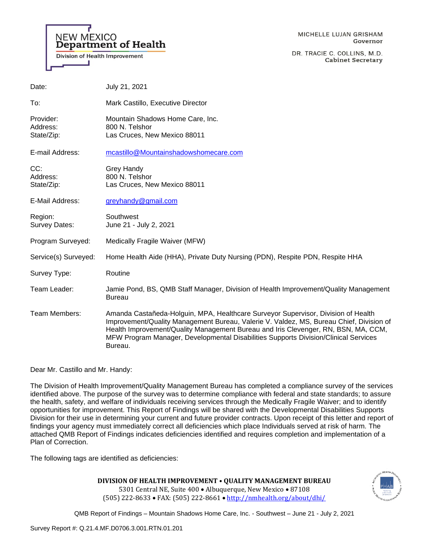

DR. TRACIE C. COLLINS, M.D. **Cabinet Secretary** 

| Date:                               | July 21, 2021                                                                                                                                                                |
|-------------------------------------|------------------------------------------------------------------------------------------------------------------------------------------------------------------------------|
| To:                                 | Mark Castillo, Executive Director                                                                                                                                            |
| Provider:<br>Address:<br>State/Zip: | Mountain Shadows Home Care, Inc.<br>800 N. Telshor<br>Las Cruces, New Mexico 88011                                                                                           |
| E-mail Address:                     | mcastillo@Mountainshadowshomecare.com                                                                                                                                        |
| CC:<br>Address:<br>State/Zip:       | Grey Handy<br>800 N. Telshor<br>Las Cruces, New Mexico 88011                                                                                                                 |
| E-Mail Address:                     | greyhandy@gmail.com                                                                                                                                                          |
| Region:<br>Survey Dates:            | Southwest<br>June 21 - July 2, 2021                                                                                                                                          |
| Program Surveyed:                   | Medically Fragile Waiver (MFW)                                                                                                                                               |
| Service(s) Surveyed:                | Home Health Aide (HHA), Private Duty Nursing (PDN), Respite PDN, Respite HHA                                                                                                 |
| Survey Type:                        | Routine                                                                                                                                                                      |
| Team Leader:                        | Jamie Pond, BS, QMB Staff Manager, Division of Health Improvement/Quality Management<br><b>Bureau</b>                                                                        |
| Team Members:                       | Amanda Castañeda-Holguin, MPA, Healthcare Surveyor Supervisor, Division of Health<br>Improvement/Quality Management Bureau, Valerie V. Valdez, MS, Bureau Chief, Division of |

Dear Mr. Castillo and Mr. Handy:

**NEW MEXICO** 

**Department of Health** 

**Division of Health Improvement** 

The Division of Health Improvement/Quality Management Bureau has completed a compliance survey of the services identified above. The purpose of the survey was to determine compliance with federal and state standards; to assure the health, safety, and welfare of individuals receiving services through the Medically Fragile Waiver; and to identify opportunities for improvement. This Report of Findings will be shared with the Developmental Disabilities Supports Division for their use in determining your current and future provider contracts. Upon receipt of this letter and report of findings your agency must immediately correct all deficiencies which place Individuals served at risk of harm. The attached QMB Report of Findings indicates deficiencies identified and requires completion and implementation of a Plan of Correction.

Health Improvement/Quality Management Bureau and Iris Clevenger, RN, BSN, MA, CCM, MFW Program Manager, Developmental Disabilities Supports Division/Clinical Services

The following tags are identified as deficiencies:

Bureau.

**DIVISION OF HEALTH IMPROVEMENT • QUALITY MANAGEMENT BUREAU**  5301 Central NE, Suite 400 • Albuquerque, New Mexico • 87108

(505) 222-8633 • FAX: (505) 222-8661 • <http://nmhealth.org/about/dhi/> QMB Report of Findings – Mountain Shadows Home Care, Inc. - Southwest – June 21 - July 2, 2021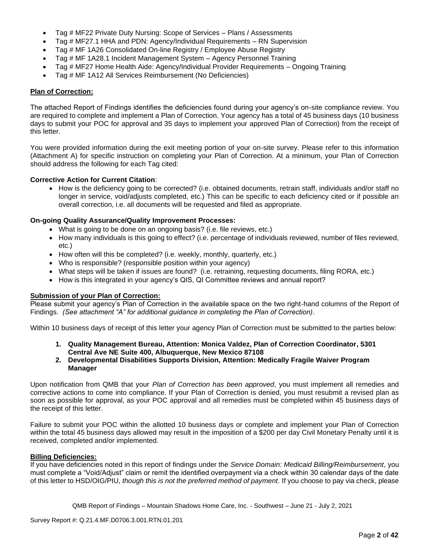- Tag # MF22 Private Duty Nursing: Scope of Services Plans / Assessments
- Tag # MF27.1 HHA and PDN: Agency/Individual Requirements RN Supervision
- Tag # MF 1A26 Consolidated On-line Registry / Employee Abuse Registry
- Tag # MF 1A28.1 Incident Management System Agency Personnel Training
- Tag # MF27 Home Health Aide: Agency/Individual Provider Requirements Ongoing Training
- Tag # MF 1A12 All Services Reimbursement (No Deficiencies)

#### **Plan of Correction:**

The attached Report of Findings identifies the deficiencies found during your agency's on-site compliance review. You are required to complete and implement a Plan of Correction. Your agency has a total of 45 business days (10 business days to submit your POC for approval and 35 days to implement your approved Plan of Correction) from the receipt of this letter.

You were provided information during the exit meeting portion of your on-site survey. Please refer to this information (Attachment A) for specific instruction on completing your Plan of Correction. At a minimum, your Plan of Correction should address the following for each Tag cited:

#### **Corrective Action for Current Citation**:

• How is the deficiency going to be corrected? (i.e. obtained documents, retrain staff, individuals and/or staff no longer in service, void/adjusts completed, etc.) This can be specific to each deficiency cited or if possible an overall correction, i.e. all documents will be requested and filed as appropriate.

#### **On-going Quality Assurance/Quality Improvement Processes:**

- What is going to be done on an ongoing basis? (i.e. file reviews, etc.)
- How many individuals is this going to effect? (i.e. percentage of individuals reviewed, number of files reviewed, etc.)
- How often will this be completed? (i.e. weekly, monthly, quarterly, etc.)
- Who is responsible? (responsible position within your agency)
- What steps will be taken if issues are found? (i.e. retraining, requesting documents, filing RORA, etc.)
- How is this integrated in your agency's QIS, QI Committee reviews and annual report?

# **Submission of your Plan of Correction:**

Please submit your agency's Plan of Correction in the available space on the two right-hand columns of the Report of Findings. *(See attachment "A" for additional guidance in completing the Plan of Correction)*.

Within 10 business days of receipt of this letter your agency Plan of Correction must be submitted to the parties below:

- **1. Quality Management Bureau, Attention: Monica Valdez, Plan of Correction Coordinator, 5301 Central Ave NE Suite 400, Albuquerque, New Mexico 87108**
- **2. Developmental Disabilities Supports Division, Attention: Medically Fragile Waiver Program Manager**

Upon notification from QMB that your *Plan of Correction has been approved*, you must implement all remedies and corrective actions to come into compliance. If your Plan of Correction is denied, you must resubmit a revised plan as soon as possible for approval, as your POC approval and all remedies must be completed within 45 business days of the receipt of this letter.

Failure to submit your POC within the allotted 10 business days or complete and implement your Plan of Correction within the total 45 business days allowed may result in the imposition of a \$200 per day Civil Monetary Penalty until it is received, completed and/or implemented.

### **Billing Deficiencies:**

If you have deficiencies noted in this report of findings under the *Service Domain: Medicaid Billing/Reimbursement*, you must complete a "Void/Adjust" claim or remit the identified overpayment via a check within 30 calendar days of the date of this letter to HSD/OIG/PIU, *though this is not the preferred method of payment*. If you choose to pay via check, please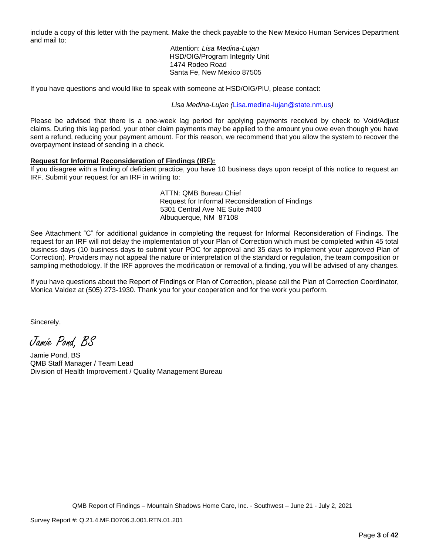include a copy of this letter with the payment. Make the check payable to the New Mexico Human Services Department and mail to:

> Attention: *Lisa Medina-Lujan* HSD/OIG/Program Integrity Unit 1474 Rodeo Road Santa Fe, New Mexico 87505

If you have questions and would like to speak with someone at HSD/OIG/PIU, please contact:

*Lisa Medina-Lujan (*[Lisa.medina-lujan@state.nm.us](mailto:Lisa.medina-lujan@state.nm.us)*)*

Please be advised that there is a one-week lag period for applying payments received by check to Void/Adjust claims. During this lag period, your other claim payments may be applied to the amount you owe even though you have sent a refund, reducing your payment amount. For this reason, we recommend that you allow the system to recover the overpayment instead of sending in a check.

### **Request for Informal Reconsideration of Findings (IRF):**

If you disagree with a finding of deficient practice, you have 10 business days upon receipt of this notice to request an IRF. Submit your request for an IRF in writing to:

> ATTN: QMB Bureau Chief Request for Informal Reconsideration of Findings 5301 Central Ave NE Suite #400 Albuquerque, NM 87108

See Attachment "C" for additional guidance in completing the request for Informal Reconsideration of Findings. The request for an IRF will not delay the implementation of your Plan of Correction which must be completed within 45 total business days (10 business days to submit your POC for approval and 35 days to implement your *approved* Plan of Correction). Providers may not appeal the nature or interpretation of the standard or regulation, the team composition or sampling methodology. If the IRF approves the modification or removal of a finding, you will be advised of any changes.

If you have questions about the Report of Findings or Plan of Correction, please call the Plan of Correction Coordinator, Monica Valdez at (505) 273-1930. Thank you for your cooperation and for the work you perform.

Sincerely,

Jamie Pond, BS

Jamie Pond, BS QMB Staff Manager / Team Lead Division of Health Improvement / Quality Management Bureau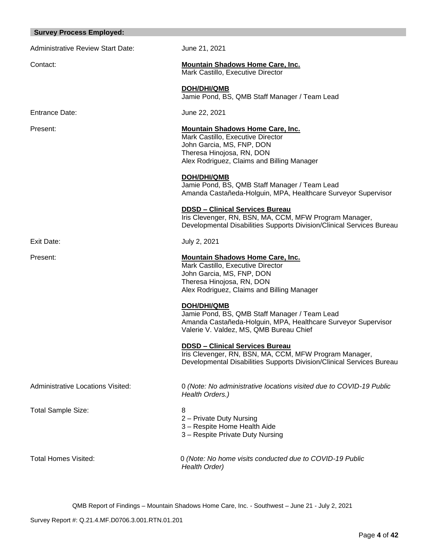| <b>Survey Process Employed:</b>          |                                                                                                                                                                                      |  |
|------------------------------------------|--------------------------------------------------------------------------------------------------------------------------------------------------------------------------------------|--|
| <b>Administrative Review Start Date:</b> | June 21, 2021                                                                                                                                                                        |  |
| Contact:                                 | <b>Mountain Shadows Home Care, Inc.</b><br>Mark Castillo, Executive Director                                                                                                         |  |
|                                          | <b>DOH/DHI/QMB</b><br>Jamie Pond, BS, QMB Staff Manager / Team Lead                                                                                                                  |  |
| <b>Entrance Date:</b>                    | June 22, 2021                                                                                                                                                                        |  |
| Present:                                 | <b>Mountain Shadows Home Care, Inc.</b><br>Mark Castillo, Executive Director<br>John Garcia, MS, FNP, DON<br>Theresa Hinojosa, RN, DON<br>Alex Rodriguez, Claims and Billing Manager |  |
|                                          | DOH/DHI/QMB<br>Jamie Pond, BS, QMB Staff Manager / Team Lead<br>Amanda Castañeda-Holguin, MPA, Healthcare Surveyor Supervisor                                                        |  |
|                                          | <b>DDSD - Clinical Services Bureau</b><br>Iris Clevenger, RN, BSN, MA, CCM, MFW Program Manager,<br>Developmental Disabilities Supports Division/Clinical Services Bureau            |  |
| Exit Date:                               | July 2, 2021                                                                                                                                                                         |  |
| Present:                                 | <b>Mountain Shadows Home Care, Inc.</b><br>Mark Castillo, Executive Director<br>John Garcia, MS, FNP, DON<br>Theresa Hinojosa, RN, DON<br>Alex Rodriguez, Claims and Billing Manager |  |
|                                          | <b>DOH/DHI/QMB</b><br>Jamie Pond, BS, QMB Staff Manager / Team Lead<br>Amanda Castañeda-Holguin, MPA, Healthcare Surveyor Supervisor<br>Valerie V. Valdez, MS, QMB Bureau Chief      |  |
|                                          | <b>DDSD - Clinical Services Bureau</b><br>Iris Clevenger, RN, BSN, MA, CCM, MFW Program Manager,<br>Developmental Disabilities Supports Division/Clinical Services Bureau            |  |
| <b>Administrative Locations Visited:</b> | 0 (Note: No administrative locations visited due to COVID-19 Public<br>Health Orders.)                                                                                               |  |
| <b>Total Sample Size:</b>                | 8<br>2 - Private Duty Nursing<br>3 - Respite Home Health Aide<br>3 - Respite Private Duty Nursing                                                                                    |  |
| <b>Total Homes Visited:</b>              | 0 (Note: No home visits conducted due to COVID-19 Public<br>Health Order)                                                                                                            |  |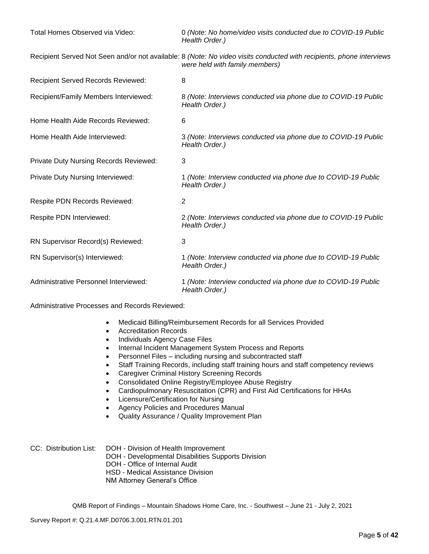| Total Homes Observed via Video:           | 0 (Note: No home/video visits conducted due to COVID-19 Public<br>Health Order.)                                                                       |
|-------------------------------------------|--------------------------------------------------------------------------------------------------------------------------------------------------------|
|                                           | Recipient Served Not Seen and/or not available: 8 (Note: No video visits conducted with recipients, phone interviews<br>were held with family members) |
| <b>Recipient Served Records Reviewed:</b> | 8                                                                                                                                                      |
| Recipient/Family Members Interviewed:     | 8 (Note: Interviews conducted via phone due to COVID-19 Public<br>Health Order.)                                                                       |
| Home Health Aide Records Reviewed:        | 6                                                                                                                                                      |
| Home Health Aide Interviewed:             | 3 (Note: Interviews conducted via phone due to COVID-19 Public<br>Health Order.)                                                                       |
| Private Duty Nursing Records Reviewed:    | 3                                                                                                                                                      |
| Private Duty Nursing Interviewed:         | 1 (Note: Interview conducted via phone due to COVID-19 Public<br>Health Order.)                                                                        |
| Respite PDN Records Reviewed:             | $\overline{2}$                                                                                                                                         |
| Respite PDN Interviewed:                  | 2 (Note: Interviews conducted via phone due to COVID-19 Public<br>Health Order.)                                                                       |
| RN Supervisor Record(s) Reviewed:         | 3                                                                                                                                                      |
| RN Supervisor(s) Interviewed:             | 1 (Note: Interview conducted via phone due to COVID-19 Public<br>Health Order.)                                                                        |
| Administrative Personnel Interviewed:     | 1 (Note: Interview conducted via phone due to COVID-19 Public<br>Health Order.)                                                                        |

Administrative Processes and Records Reviewed:

- Medicaid Billing/Reimbursement Records for all Services Provided
- Accreditation Records
- Individuals Agency Case Files
- Internal Incident Management System Process and Reports
- Personnel Files including nursing and subcontracted staff
- Staff Training Records, including staff training hours and staff competency reviews
	- Caregiver Criminal History Screening Records
- Consolidated Online Registry/Employee Abuse Registry
- Cardiopulmonary Resuscitation (CPR) and First Aid Certifications for HHAs
- Licensure/Certification for Nursing
- Agency Policies and Procedures Manual
- Quality Assurance / Quality Improvement Plan
- CC: Distribution List: DOH Division of Health Improvement DOH - Developmental Disabilities Supports Division DOH - Office of Internal Audit HSD - Medical Assistance Division NM Attorney General's Office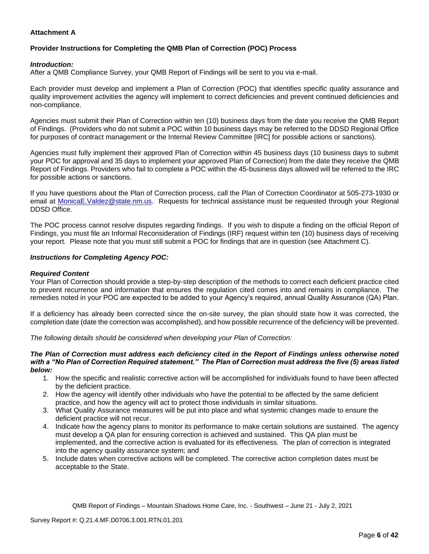# **Attachment A**

# **Provider Instructions for Completing the QMB Plan of Correction (POC) Process**

## *Introduction:*

After a QMB Compliance Survey, your QMB Report of Findings will be sent to you via e-mail.

Each provider must develop and implement a Plan of Correction (POC) that identifies specific quality assurance and quality improvement activities the agency will implement to correct deficiencies and prevent continued deficiencies and non-compliance.

Agencies must submit their Plan of Correction within ten (10) business days from the date you receive the QMB Report of Findings. (Providers who do not submit a POC within 10 business days may be referred to the DDSD Regional Office for purposes of contract management or the Internal Review Committee [IRC] for possible actions or sanctions).

Agencies must fully implement their approved Plan of Correction within 45 business days (10 business days to submit your POC for approval and 35 days to implement your approved Plan of Correction) from the date they receive the QMB Report of Findings. Providers who fail to complete a POC within the 45-business days allowed will be referred to the IRC for possible actions or sanctions.

If you have questions about the Plan of Correction process, call the Plan of Correction Coordinator at 505-273-1930 or email at [MonicaE.Valdez@state.nm.us.](mailto:MonicaE.Valdez@state.nm.us) Requests for technical assistance must be requested through your Regional DDSD Office.

The POC process cannot resolve disputes regarding findings. If you wish to dispute a finding on the official Report of Findings, you must file an Informal Reconsideration of Findings (IRF) request within ten (10) business days of receiving your report. Please note that you must still submit a POC for findings that are in question (see Attachment C).

### *Instructions for Completing Agency POC:*

## *Required Content*

Your Plan of Correction should provide a step-by-step description of the methods to correct each deficient practice cited to prevent recurrence and information that ensures the regulation cited comes into and remains in compliance. The remedies noted in your POC are expected to be added to your Agency's required, annual Quality Assurance (QA) Plan.

If a deficiency has already been corrected since the on-site survey, the plan should state how it was corrected, the completion date (date the correction was accomplished), and how possible recurrence of the deficiency will be prevented.

*The following details should be considered when developing your Plan of Correction:*

#### *The Plan of Correction must address each deficiency cited in the Report of Findings unless otherwise noted with a "No Plan of Correction Required statement." The Plan of Correction must address the five (5) areas listed below:*

- 1. How the specific and realistic corrective action will be accomplished for individuals found to have been affected by the deficient practice.
- 2. How the agency will identify other individuals who have the potential to be affected by the same deficient practice, and how the agency will act to protect those individuals in similar situations.
- 3. What Quality Assurance measures will be put into place and what systemic changes made to ensure the deficient practice will not recur.
- 4. Indicate how the agency plans to monitor its performance to make certain solutions are sustained. The agency must develop a QA plan for ensuring correction is achieved and sustained. This QA plan must be implemented, and the corrective action is evaluated for its effectiveness. The plan of correction is integrated into the agency quality assurance system; and
- 5. Include dates when corrective actions will be completed. The corrective action completion dates must be acceptable to the State.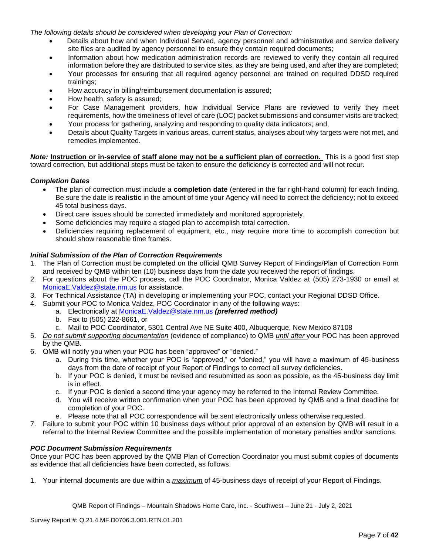*The following details should be considered when developing your Plan of Correction:*

- Details about how and when Individual Served, agency personnel and administrative and service delivery site files are audited by agency personnel to ensure they contain required documents;
- Information about how medication administration records are reviewed to verify they contain all required information before they are distributed to service sites, as they are being used, and after they are completed;
- Your processes for ensuring that all required agency personnel are trained on required DDSD required trainings;
- How accuracy in billing/reimbursement documentation is assured;
- How health, safety is assured;
- For Case Management providers, how Individual Service Plans are reviewed to verify they meet requirements, how the timeliness of level of care (LOC) packet submissions and consumer visits are tracked;
- Your process for gathering, analyzing and responding to quality data indicators; and,
- Details about Quality Targets in various areas, current status, analyses about why targets were not met, and remedies implemented.

*Note:* **Instruction or in-service of staff alone may not be a sufficient plan of correction.** This is a good first step toward correction, but additional steps must be taken to ensure the deficiency is corrected and will not recur.

# *Completion Dates*

- The plan of correction must include a **completion date** (entered in the far right-hand column) for each finding. Be sure the date is **realistic** in the amount of time your Agency will need to correct the deficiency; not to exceed 45 total business days.
- Direct care issues should be corrected immediately and monitored appropriately.
- Some deficiencies may require a staged plan to accomplish total correction.
- Deficiencies requiring replacement of equipment, etc., may require more time to accomplish correction but should show reasonable time frames.

# *Initial Submission of the Plan of Correction Requirements*

- 1. The Plan of Correction must be completed on the official QMB Survey Report of Findings/Plan of Correction Form and received by QMB within ten (10) business days from the date you received the report of findings.
- 2. For questions about the POC process, call the POC Coordinator, Monica Valdez at (505) 273-1930 or email at [MonicaE.Valdez@state.nm.us](mailto:MonicaE.Valdez@state.nm.us) for assistance.
- 3. For Technical Assistance (TA) in developing or implementing your POC, contact your Regional DDSD Office.
- 4. Submit your POC to Monica Valdez, POC Coordinator in any of the following ways:
	- a. Electronically at [MonicaE.Valdez@state.nm.us](mailto:MonicaE.Valdez@state.nm.us) *(preferred method)*
	- b. Fax to (505) 222-8661, or
	- c. Mail to POC Coordinator, 5301 Central Ave NE Suite 400, Albuquerque, New Mexico 87108
- 5. *Do not submit supporting documentation* (evidence of compliance) to QMB *until after* your POC has been approved by the QMB.
- 6. QMB will notify you when your POC has been "approved" or "denied."
	- a. During this time, whether your POC is "approved," or "denied," you will have a maximum of 45-business days from the date of receipt of your Report of Findings to correct all survey deficiencies.
	- b. If your POC is denied, it must be revised and resubmitted as soon as possible, as the 45-business day limit is in effect.
	- c. If your POC is denied a second time your agency may be referred to the Internal Review Committee.
	- d. You will receive written confirmation when your POC has been approved by QMB and a final deadline for completion of your POC.
	- e. Please note that all POC correspondence will be sent electronically unless otherwise requested.
- 7. Failure to submit your POC within 10 business days without prior approval of an extension by QMB will result in a referral to the Internal Review Committee and the possible implementation of monetary penalties and/or sanctions.

### *POC Document Submission Requirements*

Once your POC has been approved by the QMB Plan of Correction Coordinator you must submit copies of documents as evidence that all deficiencies have been corrected, as follows.

1. Your internal documents are due within a *maximum* of 45-business days of receipt of your Report of Findings.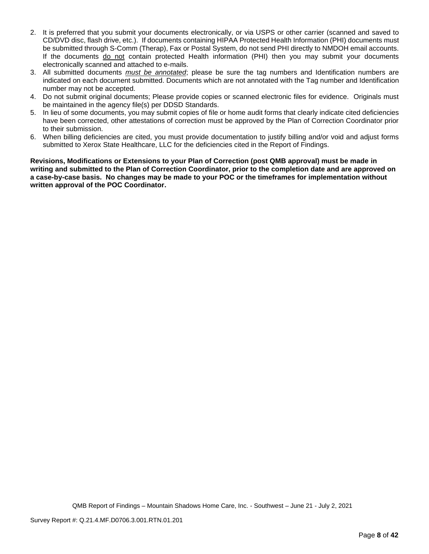- 2. It is preferred that you submit your documents electronically, or via USPS or other carrier (scanned and saved to CD/DVD disc, flash drive, etc.). If documents containing HIPAA Protected Health Information (PHI) documents must be submitted through S-Comm (Therap), Fax or Postal System, do not send PHI directly to NMDOH email accounts. If the documents do not contain protected Health information (PHI) then you may submit your documents electronically scanned and attached to e-mails.
- 3. All submitted documents *must be annotated*; please be sure the tag numbers and Identification numbers are indicated on each document submitted. Documents which are not annotated with the Tag number and Identification number may not be accepted.
- 4. Do not submit original documents; Please provide copies or scanned electronic files for evidence. Originals must be maintained in the agency file(s) per DDSD Standards.
- 5. In lieu of some documents, you may submit copies of file or home audit forms that clearly indicate cited deficiencies have been corrected, other attestations of correction must be approved by the Plan of Correction Coordinator prior to their submission.
- 6. When billing deficiencies are cited, you must provide documentation to justify billing and/or void and adjust forms submitted to Xerox State Healthcare, LLC for the deficiencies cited in the Report of Findings.

**Revisions, Modifications or Extensions to your Plan of Correction (post QMB approval) must be made in writing and submitted to the Plan of Correction Coordinator, prior to the completion date and are approved on a case-by-case basis. No changes may be made to your POC or the timeframes for implementation without written approval of the POC Coordinator.**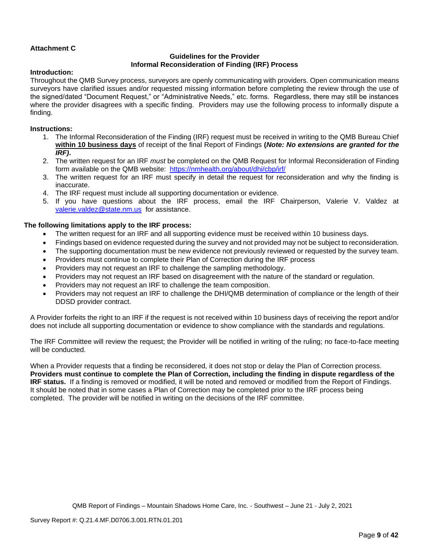# **Attachment C**

# **Guidelines for the Provider Informal Reconsideration of Finding (IRF) Process**

### **Introduction:**

Throughout the QMB Survey process, surveyors are openly communicating with providers. Open communication means surveyors have clarified issues and/or requested missing information before completing the review through the use of the signed/dated "Document Request," or "Administrative Needs," etc. forms. Regardless, there may still be instances where the provider disagrees with a specific finding. Providers may use the following process to informally dispute a finding.

## **Instructions:**

- 1. The Informal Reconsideration of the Finding (IRF) request must be received in writing to the QMB Bureau Chief **within 10 business days** of receipt of the final Report of Findings **(***Note: No extensions are granted for the IRF)***.**
- 2. The written request for an IRF *must* be completed on the QMB Request for Informal Reconsideration of Finding form available on the QMB website: <https://nmhealth.org/about/dhi/cbp/irf/>
- 3. The written request for an IRF must specify in detail the request for reconsideration and why the finding is inaccurate.
- 4. The IRF request must include all supporting documentation or evidence.
- 5. If you have questions about the IRF process, email the IRF Chairperson, Valerie V. Valdez at [valerie.valdez@state.nm.us](mailto:valerie.valdez@state.nm.us) for assistance.

# **The following limitations apply to the IRF process:**

- The written request for an IRF and all supporting evidence must be received within 10 business days.
- Findings based on evidence requested during the survey and not provided may not be subject to reconsideration.
- The supporting documentation must be new evidence not previously reviewed or requested by the survey team.
- Providers must continue to complete their Plan of Correction during the IRF process
- Providers may not request an IRF to challenge the sampling methodology.
- Providers may not request an IRF based on disagreement with the nature of the standard or regulation.
- Providers may not request an IRF to challenge the team composition.
- Providers may not request an IRF to challenge the DHI/QMB determination of compliance or the length of their DDSD provider contract.

A Provider forfeits the right to an IRF if the request is not received within 10 business days of receiving the report and/or does not include all supporting documentation or evidence to show compliance with the standards and regulations.

The IRF Committee will review the request; the Provider will be notified in writing of the ruling; no face-to-face meeting will be conducted.

When a Provider requests that a finding be reconsidered, it does not stop or delay the Plan of Correction process. **Providers must continue to complete the Plan of Correction, including the finding in dispute regardless of the IRF status.** If a finding is removed or modified, it will be noted and removed or modified from the Report of Findings. It should be noted that in some cases a Plan of Correction may be completed prior to the IRF process being completed. The provider will be notified in writing on the decisions of the IRF committee.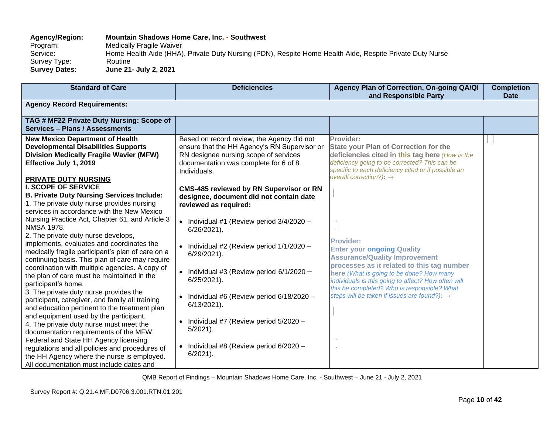# **Agency/Region: Mountain Shadows Home Care, Inc. - Southwest** Program: Medically Fragile Waiver<br>Service: Home Health Aide (HHA) Home Health Aide (HHA), Private Duty Nursing (PDN), Respite Home Health Aide, Respite Private Duty Nurse Survey Type: Routine<br>
Survey Dates: June 21 **Survey Dates: June 21- July 2, 2021**

| <b>Standard of Care</b>                                                                                                                                                                  | <b>Deficiencies</b>                                                                                                                                                                          | Agency Plan of Correction, On-going QA/QI<br>and Responsible Party                                                                                                                                                                                          | <b>Completion</b><br><b>Date</b> |
|------------------------------------------------------------------------------------------------------------------------------------------------------------------------------------------|----------------------------------------------------------------------------------------------------------------------------------------------------------------------------------------------|-------------------------------------------------------------------------------------------------------------------------------------------------------------------------------------------------------------------------------------------------------------|----------------------------------|
| <b>Agency Record Requirements:</b>                                                                                                                                                       |                                                                                                                                                                                              |                                                                                                                                                                                                                                                             |                                  |
| TAG # MF22 Private Duty Nursing: Scope of<br>Services - Plans / Assessments                                                                                                              |                                                                                                                                                                                              |                                                                                                                                                                                                                                                             |                                  |
| <b>New Mexico Department of Health</b><br><b>Developmental Disabilities Supports</b><br><b>Division Medically Fragile Wavier (MFW)</b><br>Effective July 1, 2019<br>PRIVATE DUTY NURSING | Based on record review, the Agency did not<br>ensure that the HH Agency's RN Supervisor or<br>RN designee nursing scope of services<br>documentation was complete for 6 of 8<br>Individuals. | Provider:<br><b>State your Plan of Correction for the</b><br>deficiencies cited in this tag here (How is the<br>deficiency going to be corrected? This can be<br>specific to each deficiency cited or if possible an<br>overall correction?): $\rightarrow$ |                                  |
| <b>I. SCOPE OF SERVICE</b><br><b>B. Private Duty Nursing Services Include:</b><br>1. The private duty nurse provides nursing<br>services in accordance with the New Mexico               | <b>CMS-485 reviewed by RN Supervisor or RN</b><br>designee, document did not contain date<br>reviewed as required:                                                                           |                                                                                                                                                                                                                                                             |                                  |
| Nursing Practice Act, Chapter 61, and Article 3<br>NMSA 1978.<br>2. The private duty nurse develops,                                                                                     | • Individual #1 (Review period $3/4/2020 -$<br>6/26/2021).                                                                                                                                   |                                                                                                                                                                                                                                                             |                                  |
| implements, evaluates and coordinates the<br>medically fragile participant's plan of care on a<br>continuing basis. This plan of care may require                                        | • Individual #2 (Review period $1/1/2020 -$<br>6/29/2021).                                                                                                                                   | Provider:<br><b>Enter your ongoing Quality</b><br><b>Assurance/Quality Improvement</b>                                                                                                                                                                      |                                  |
| coordination with multiple agencies. A copy of<br>the plan of care must be maintained in the<br>participant's home.                                                                      | • Individual #3 (Review period $6/1/2020 -$<br>$6/25/2021$ ).                                                                                                                                | processes as it related to this tag number<br>here (What is going to be done? How many<br>individuals is this going to affect? How often will<br>this be completed? Who is responsible? What                                                                |                                  |
| 3. The private duty nurse provides the<br>participant, caregiver, and family all training<br>and education pertinent to the treatment plan                                               | • Individual #6 (Review period $6/18/2020 -$<br>$6/13/2021$ ).                                                                                                                               | steps will be taken if issues are found?): →                                                                                                                                                                                                                |                                  |
| and equipment used by the participant.<br>4. The private duty nurse must meet the<br>documentation requirements of the MFW,                                                              | • Individual #7 (Review period $5/2020 -$<br>$5/2021$ ).                                                                                                                                     |                                                                                                                                                                                                                                                             |                                  |
| Federal and State HH Agency licensing<br>regulations and all policies and procedures of<br>the HH Agency where the nurse is employed.<br>All documentation must include dates and        | • Individual #8 (Review period $6/2020 -$<br>$6/2021$ ).                                                                                                                                     |                                                                                                                                                                                                                                                             |                                  |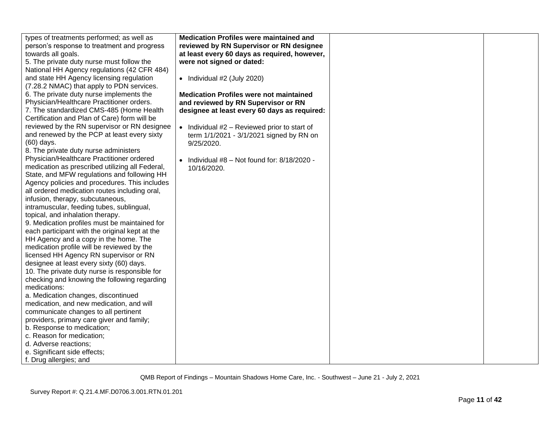| types of treatments performed; as well as          | <b>Medication Profiles were maintained and</b>       |  |
|----------------------------------------------------|------------------------------------------------------|--|
| person's response to treatment and progress        | reviewed by RN Supervisor or RN designee             |  |
| towards all goals.                                 | at least every 60 days as required, however,         |  |
| 5. The private duty nurse must follow the          | were not signed or dated:                            |  |
| National HH Agency regulations (42 CFR 484)        |                                                      |  |
| and state HH Agency licensing regulation           | $\bullet$ Individual #2 (July 2020)                  |  |
| (7.28.2 NMAC) that apply to PDN services.          |                                                      |  |
| 6. The private duty nurse implements the           | <b>Medication Profiles were not maintained</b>       |  |
| Physician/Healthcare Practitioner orders.          | and reviewed by RN Supervisor or RN                  |  |
| 7. The standardized CMS-485 (Home Health           | designee at least every 60 days as required:         |  |
| Certification and Plan of Care) form will be       |                                                      |  |
| reviewed by the RN supervisor or RN designee       | $\bullet$ Individual #2 - Reviewed prior to start of |  |
| and renewed by the PCP at least every sixty        | term 1/1/2021 - 3/1/2021 signed by RN on             |  |
| (60) days.                                         | 9/25/2020.                                           |  |
| 8. The private duty nurse administers              |                                                      |  |
| Physician/Healthcare Practitioner ordered          | • Individual $#8 - Not$ found for: $8/18/2020 -$     |  |
| medication as prescribed utilizing all Federal,    | 10/16/2020.                                          |  |
| State, and MFW regulations and following HH        |                                                      |  |
| Agency policies and procedures. This includes      |                                                      |  |
| all ordered medication routes including oral,      |                                                      |  |
| infusion, therapy, subcutaneous,                   |                                                      |  |
| intramuscular, feeding tubes, sublingual,          |                                                      |  |
| topical, and inhalation therapy.                   |                                                      |  |
| 9. Medication profiles must be maintained for      |                                                      |  |
| each participant with the original kept at the     |                                                      |  |
| HH Agency and a copy in the home. The              |                                                      |  |
| medication profile will be reviewed by the         |                                                      |  |
| licensed HH Agency RN supervisor or RN             |                                                      |  |
| designee at least every sixty (60) days.           |                                                      |  |
| 10. The private duty nurse is responsible for      |                                                      |  |
| checking and knowing the following regarding       |                                                      |  |
| medications:                                       |                                                      |  |
| a. Medication changes, discontinued                |                                                      |  |
| medication, and new medication, and will           |                                                      |  |
| communicate changes to all pertinent               |                                                      |  |
| providers, primary care giver and family;          |                                                      |  |
| b. Response to medication;                         |                                                      |  |
| c. Reason for medication;<br>d. Adverse reactions; |                                                      |  |
|                                                    |                                                      |  |
| e. Significant side effects;                       |                                                      |  |
| f. Drug allergies; and                             |                                                      |  |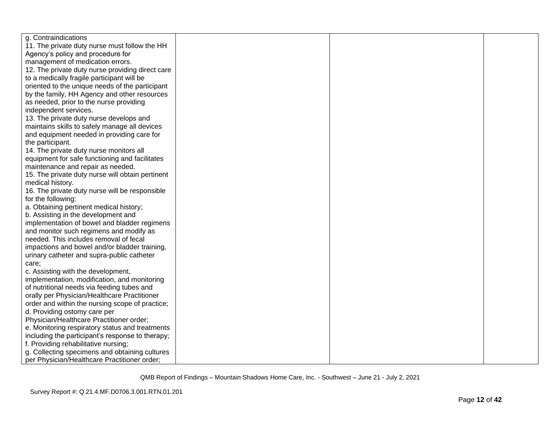| g. Contraindications                             |  |  |
|--------------------------------------------------|--|--|
| 11. The private duty nurse must follow the HH    |  |  |
| Agency's policy and procedure for                |  |  |
| management of medication errors.                 |  |  |
| 12. The private duty nurse providing direct care |  |  |
| to a medically fragile participant will be       |  |  |
| oriented to the unique needs of the participant  |  |  |
| by the family, HH Agency and other resources     |  |  |
| as needed, prior to the nurse providing          |  |  |
| independent services.                            |  |  |
| 13. The private duty nurse develops and          |  |  |
| maintains skills to safely manage all devices    |  |  |
| and equipment needed in providing care for       |  |  |
| the participant.                                 |  |  |
| 14. The private duty nurse monitors all          |  |  |
| equipment for safe functioning and facilitates   |  |  |
| maintenance and repair as needed.                |  |  |
| 15. The private duty nurse will obtain pertinent |  |  |
| medical history.                                 |  |  |
| 16. The private duty nurse will be responsible   |  |  |
| for the following:                               |  |  |
| a. Obtaining pertinent medical history;          |  |  |
| b. Assisting in the development and              |  |  |
| implementation of bowel and bladder regimens     |  |  |
| and monitor such regimens and modify as          |  |  |
| needed. This includes removal of fecal           |  |  |
| impactions and bowel and/or bladder training,    |  |  |
| urinary catheter and supra-public catheter       |  |  |
| care;                                            |  |  |
| c. Assisting with the development,               |  |  |
| implementation, modification, and monitoring     |  |  |
| of nutritional needs via feeding tubes and       |  |  |
| orally per Physician/Healthcare Practitioner     |  |  |
| order and within the nursing scope of practice;  |  |  |
| d. Providing ostomy care per                     |  |  |
| Physician/Healthcare Practitioner order;         |  |  |
| e. Monitoring respiratory status and treatments  |  |  |
| including the participant's response to therapy; |  |  |
| f. Providing rehabilitative nursing;             |  |  |
| g. Collecting specimens and obtaining cultures   |  |  |
| per Physician/Healthcare Practitioner order;     |  |  |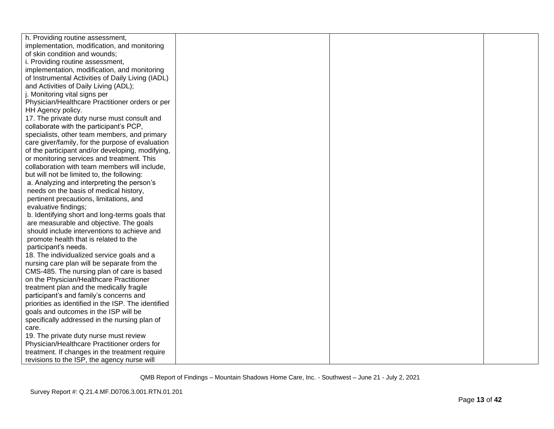| h. Providing routine assessment,                    |  |  |
|-----------------------------------------------------|--|--|
| implementation, modification, and monitoring        |  |  |
| of skin condition and wounds;                       |  |  |
| i. Providing routine assessment,                    |  |  |
| implementation, modification, and monitoring        |  |  |
| of Instrumental Activities of Daily Living (IADL)   |  |  |
| and Activities of Daily Living (ADL);               |  |  |
| j. Monitoring vital signs per                       |  |  |
| Physician/Healthcare Practitioner orders or per     |  |  |
| HH Agency policy.                                   |  |  |
| 17. The private duty nurse must consult and         |  |  |
| collaborate with the participant's PCP,             |  |  |
| specialists, other team members, and primary        |  |  |
| care giver/family, for the purpose of evaluation    |  |  |
| of the participant and/or developing, modifying,    |  |  |
| or monitoring services and treatment. This          |  |  |
| collaboration with team members will include,       |  |  |
| but will not be limited to, the following:          |  |  |
| a. Analyzing and interpreting the person's          |  |  |
| needs on the basis of medical history,              |  |  |
| pertinent precautions, limitations, and             |  |  |
| evaluative findings;                                |  |  |
| b. Identifying short and long-terms goals that      |  |  |
| are measurable and objective. The goals             |  |  |
| should include interventions to achieve and         |  |  |
| promote health that is related to the               |  |  |
| participant's needs.                                |  |  |
| 18. The individualized service goals and a          |  |  |
| nursing care plan will be separate from the         |  |  |
| CMS-485. The nursing plan of care is based          |  |  |
| on the Physician/Healthcare Practitioner            |  |  |
| treatment plan and the medically fragile            |  |  |
| participant's and family's concerns and             |  |  |
| priorities as identified in the ISP. The identified |  |  |
| goals and outcomes in the ISP will be               |  |  |
| specifically addressed in the nursing plan of       |  |  |
| care.                                               |  |  |
| 19. The private duty nurse must review              |  |  |
| Physician/Healthcare Practitioner orders for        |  |  |
| treatment. If changes in the treatment require      |  |  |
| revisions to the ISP, the agency nurse will         |  |  |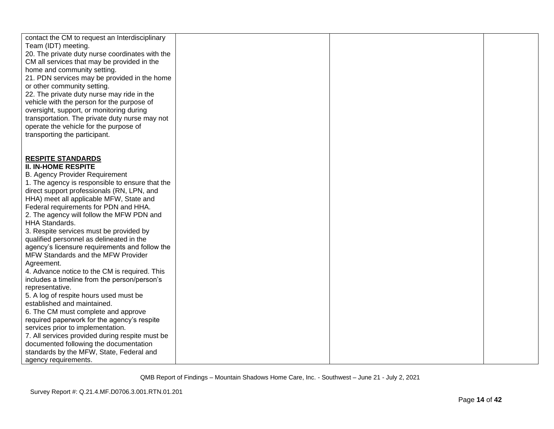| contact the CM to request an Interdisciplinary                                             |  |  |
|--------------------------------------------------------------------------------------------|--|--|
| Team (IDT) meeting.                                                                        |  |  |
| 20. The private duty nurse coordinates with the                                            |  |  |
| CM all services that may be provided in the<br>home and community setting.                 |  |  |
| 21. PDN services may be provided in the home                                               |  |  |
| or other community setting.                                                                |  |  |
| 22. The private duty nurse may ride in the                                                 |  |  |
| vehicle with the person for the purpose of                                                 |  |  |
| oversight, support, or monitoring during                                                   |  |  |
| transportation. The private duty nurse may not                                             |  |  |
| operate the vehicle for the purpose of                                                     |  |  |
| transporting the participant.                                                              |  |  |
|                                                                                            |  |  |
|                                                                                            |  |  |
| <b>RESPITE STANDARDS</b>                                                                   |  |  |
| <b>II. IN-HOME RESPITE</b>                                                                 |  |  |
| <b>B. Agency Provider Requirement</b>                                                      |  |  |
| 1. The agency is responsible to ensure that the                                            |  |  |
| direct support professionals (RN, LPN, and                                                 |  |  |
| HHA) meet all applicable MFW, State and                                                    |  |  |
| Federal requirements for PDN and HHA.                                                      |  |  |
| 2. The agency will follow the MFW PDN and                                                  |  |  |
| HHA Standards.                                                                             |  |  |
| 3. Respite services must be provided by                                                    |  |  |
| qualified personnel as delineated in the<br>agency's licensure requirements and follow the |  |  |
| MFW Standards and the MFW Provider                                                         |  |  |
| Agreement.                                                                                 |  |  |
| 4. Advance notice to the CM is required. This                                              |  |  |
| includes a timeline from the person/person's                                               |  |  |
| representative.                                                                            |  |  |
| 5. A log of respite hours used must be                                                     |  |  |
| established and maintained.                                                                |  |  |
| 6. The CM must complete and approve                                                        |  |  |
| required paperwork for the agency's respite                                                |  |  |
| services prior to implementation.                                                          |  |  |
| 7. All services provided during respite must be                                            |  |  |
| documented following the documentation                                                     |  |  |
| standards by the MFW, State, Federal and                                                   |  |  |
| agency requirements.                                                                       |  |  |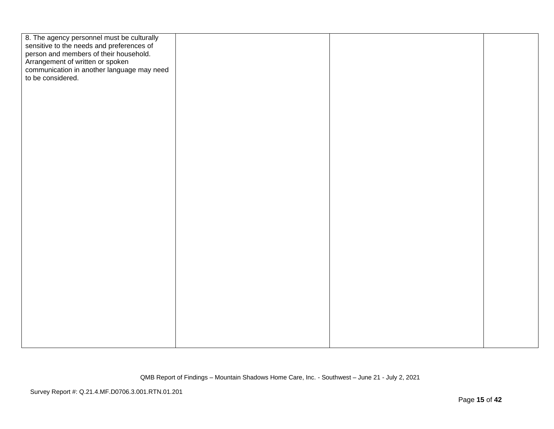| 8. The agency personnel must be culturally<br>sensitive to the needs and preferences of<br>person and members of their household. |  |  |
|-----------------------------------------------------------------------------------------------------------------------------------|--|--|
|                                                                                                                                   |  |  |
|                                                                                                                                   |  |  |
| Arrangement of written or spoken<br>communication in another language may need                                                    |  |  |
| to be considered.                                                                                                                 |  |  |
|                                                                                                                                   |  |  |
|                                                                                                                                   |  |  |
|                                                                                                                                   |  |  |
|                                                                                                                                   |  |  |
|                                                                                                                                   |  |  |
|                                                                                                                                   |  |  |
|                                                                                                                                   |  |  |
|                                                                                                                                   |  |  |
|                                                                                                                                   |  |  |
|                                                                                                                                   |  |  |
|                                                                                                                                   |  |  |
|                                                                                                                                   |  |  |
|                                                                                                                                   |  |  |
|                                                                                                                                   |  |  |
|                                                                                                                                   |  |  |
|                                                                                                                                   |  |  |
|                                                                                                                                   |  |  |
|                                                                                                                                   |  |  |
|                                                                                                                                   |  |  |
|                                                                                                                                   |  |  |
|                                                                                                                                   |  |  |
|                                                                                                                                   |  |  |
|                                                                                                                                   |  |  |
|                                                                                                                                   |  |  |
|                                                                                                                                   |  |  |
|                                                                                                                                   |  |  |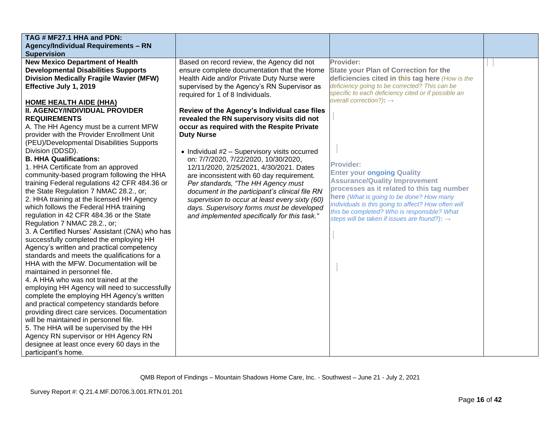| TAG # MF27.1 HHA and PDN:                                                               |                                                |                                                                                                 |  |
|-----------------------------------------------------------------------------------------|------------------------------------------------|-------------------------------------------------------------------------------------------------|--|
| <b>Agency/Individual Requirements - RN</b>                                              |                                                |                                                                                                 |  |
| <b>Supervision</b>                                                                      |                                                |                                                                                                 |  |
| <b>New Mexico Department of Health</b>                                                  | Based on record review, the Agency did not     | Provider:                                                                                       |  |
| <b>Developmental Disabilities Supports</b>                                              | ensure complete documentation that the Home    | <b>State your Plan of Correction for the</b>                                                    |  |
| <b>Division Medically Fragile Wavier (MFW)</b>                                          | Health Aide and/or Private Duty Nurse were     | deficiencies cited in this tag here (How is the                                                 |  |
| Effective July 1, 2019                                                                  | supervised by the Agency's RN Supervisor as    | deficiency going to be corrected? This can be                                                   |  |
|                                                                                         | required for 1 of 8 Individuals.               | specific to each deficiency cited or if possible an                                             |  |
| <b>HOME HEALTH AIDE (HHA)</b>                                                           |                                                | overall correction?): $\rightarrow$                                                             |  |
| II. AGENCY/INDIVIDUAL PROVIDER                                                          | Review of the Agency's Individual case files   |                                                                                                 |  |
| <b>REQUIREMENTS</b>                                                                     | revealed the RN supervisory visits did not     |                                                                                                 |  |
| A. The HH Agency must be a current MFW                                                  | occur as required with the Respite Private     |                                                                                                 |  |
| provider with the Provider Enrollment Unit                                              | <b>Duty Nurse</b>                              |                                                                                                 |  |
| (PEU)/Developmental Disabilities Supports                                               |                                                |                                                                                                 |  |
| Division (DDSD).                                                                        | • Individual #2 - Supervisory visits occurred  |                                                                                                 |  |
| <b>B. HHA Qualifications:</b>                                                           | on: 7/7/2020, 7/22/2020, 10/30/2020,           |                                                                                                 |  |
| 1. HHA Certificate from an approved                                                     | 12/11/2020, 2/25/2021, 4/30/2021. Dates        | <b>Provider:</b>                                                                                |  |
| community-based program following the HHA                                               | are inconsistent with 60 day requirement.      | <b>Enter your ongoing Quality</b>                                                               |  |
| training Federal regulations 42 CFR 484.36 or                                           | Per standards, "The HH Agency must             | <b>Assurance/Quality Improvement</b>                                                            |  |
| the State Regulation 7 NMAC 28.2., or;                                                  | document in the participant's clinical file RN | processes as it related to this tag number                                                      |  |
| 2. HHA training at the licensed HH Agency                                               | supervision to occur at least every sixty (60) | here (What is going to be done? How many<br>individuals is this going to affect? How often will |  |
| which follows the Federal HHA training                                                  | days. Supervisory forms must be developed      | this be completed? Who is responsible? What                                                     |  |
| regulation in 42 CFR 484.36 or the State                                                | and implemented specifically for this task."   | steps will be taken if issues are found?): $\rightarrow$                                        |  |
| Regulation 7 NMAC 28.2., or;                                                            |                                                |                                                                                                 |  |
| 3. A Certified Nurses' Assistant (CNA) who has                                          |                                                |                                                                                                 |  |
| successfully completed the employing HH                                                 |                                                |                                                                                                 |  |
| Agency's written and practical competency                                               |                                                |                                                                                                 |  |
| standards and meets the qualifications for a                                            |                                                |                                                                                                 |  |
| HHA with the MFW. Documentation will be                                                 |                                                |                                                                                                 |  |
| maintained in personnel file.                                                           |                                                |                                                                                                 |  |
| 4. A HHA who was not trained at the                                                     |                                                |                                                                                                 |  |
| employing HH Agency will need to successfully                                           |                                                |                                                                                                 |  |
| complete the employing HH Agency's written<br>and practical competency standards before |                                                |                                                                                                 |  |
| providing direct care services. Documentation                                           |                                                |                                                                                                 |  |
| will be maintained in personnel file.                                                   |                                                |                                                                                                 |  |
| 5. The HHA will be supervised by the HH                                                 |                                                |                                                                                                 |  |
| Agency RN supervisor or HH Agency RN                                                    |                                                |                                                                                                 |  |
| designee at least once every 60 days in the                                             |                                                |                                                                                                 |  |
| participant's home.                                                                     |                                                |                                                                                                 |  |
|                                                                                         |                                                |                                                                                                 |  |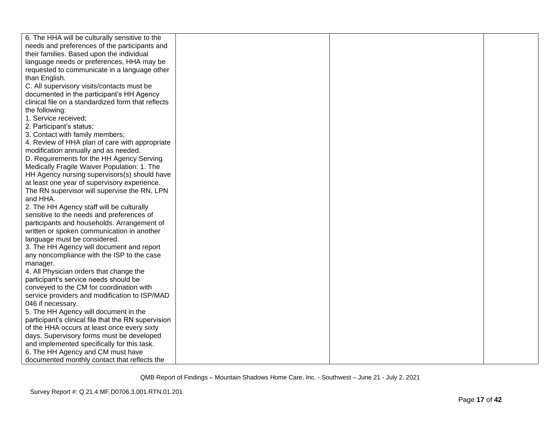| 6. The HHA will be culturally sensitive to the      |  |  |
|-----------------------------------------------------|--|--|
| needs and preferences of the participants and       |  |  |
| their families. Based upon the individual           |  |  |
| language needs or preferences, HHA may be           |  |  |
| requested to communicate in a language other        |  |  |
| than English.                                       |  |  |
| C. All supervisory visits/contacts must be          |  |  |
| documented in the participant's HH Agency           |  |  |
| clinical file on a standardized form that reflects  |  |  |
| the following:                                      |  |  |
| 1. Service received;                                |  |  |
| 2. Participant's status;                            |  |  |
| 3. Contact with family members;                     |  |  |
| 4. Review of HHA plan of care with appropriate      |  |  |
| modification annually and as needed.                |  |  |
| D. Requirements for the HH Agency Serving           |  |  |
| Medically Fragile Waiver Population: 1. The         |  |  |
| HH Agency nursing supervisors(s) should have        |  |  |
| at least one year of supervisory experience.        |  |  |
| The RN supervisor will supervise the RN, LPN        |  |  |
| and HHA.                                            |  |  |
| 2. The HH Agency staff will be culturally           |  |  |
| sensitive to the needs and preferences of           |  |  |
| participants and households. Arrangement of         |  |  |
| written or spoken communication in another          |  |  |
| language must be considered.                        |  |  |
| 3. The HH Agency will document and report           |  |  |
| any noncompliance with the ISP to the case          |  |  |
| manager.                                            |  |  |
| 4. All Physician orders that change the             |  |  |
| participant's service needs should be               |  |  |
| conveyed to the CM for coordination with            |  |  |
| service providers and modification to ISP/MAD       |  |  |
| 046 if necessary.                                   |  |  |
| 5. The HH Agency will document in the               |  |  |
| participant's clinical file that the RN supervision |  |  |
| of the HHA occurs at least once every sixty         |  |  |
| days. Supervisory forms must be developed           |  |  |
| and implemented specifically for this task.         |  |  |
| 6. The HH Agency and CM must have                   |  |  |
| documented monthly contact that reflects the        |  |  |
|                                                     |  |  |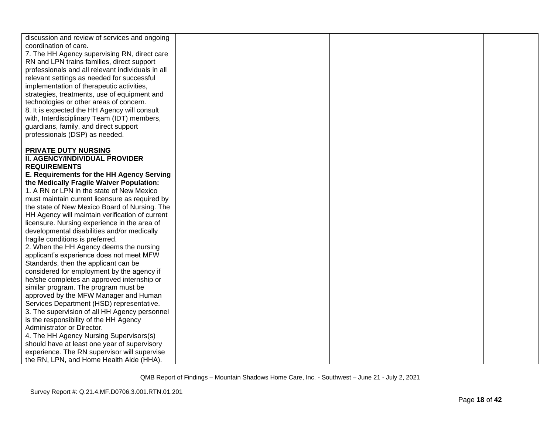| discussion and review of services and ongoing<br>coordination of care. |  |  |
|------------------------------------------------------------------------|--|--|
| 7. The HH Agency supervising RN, direct care                           |  |  |
| RN and LPN trains families, direct support                             |  |  |
| professionals and all relevant individuals in all                      |  |  |
| relevant settings as needed for successful                             |  |  |
| implementation of therapeutic activities,                              |  |  |
| strategies, treatments, use of equipment and                           |  |  |
| technologies or other areas of concern.                                |  |  |
| 8. It is expected the HH Agency will consult                           |  |  |
| with, Interdisciplinary Team (IDT) members,                            |  |  |
| guardians, family, and direct support                                  |  |  |
| professionals (DSP) as needed.                                         |  |  |
|                                                                        |  |  |
| PRIVATE DUTY NURSING                                                   |  |  |
| <b>II. AGENCY/INDIVIDUAL PROVIDER</b>                                  |  |  |
| <b>REQUIREMENTS</b>                                                    |  |  |
| E. Requirements for the HH Agency Serving                              |  |  |
| the Medically Fragile Waiver Population:                               |  |  |
| 1. A RN or LPN in the state of New Mexico                              |  |  |
| must maintain current licensure as required by                         |  |  |
| the state of New Mexico Board of Nursing. The                          |  |  |
| HH Agency will maintain verification of current                        |  |  |
| licensure. Nursing experience in the area of                           |  |  |
| developmental disabilities and/or medically                            |  |  |
| fragile conditions is preferred.                                       |  |  |
| 2. When the HH Agency deems the nursing                                |  |  |
| applicant's experience does not meet MFW                               |  |  |
| Standards, then the applicant can be                                   |  |  |
| considered for employment by the agency if                             |  |  |
| he/she completes an approved internship or                             |  |  |
| similar program. The program must be                                   |  |  |
| approved by the MFW Manager and Human                                  |  |  |
| Services Department (HSD) representative.                              |  |  |
| 3. The supervision of all HH Agency personnel                          |  |  |
| is the responsibility of the HH Agency                                 |  |  |
| Administrator or Director.                                             |  |  |
| 4. The HH Agency Nursing Supervisors(s)                                |  |  |
| should have at least one year of supervisory                           |  |  |
| experience. The RN supervisor will supervise                           |  |  |
| the RN, LPN, and Home Health Aide (HHA).                               |  |  |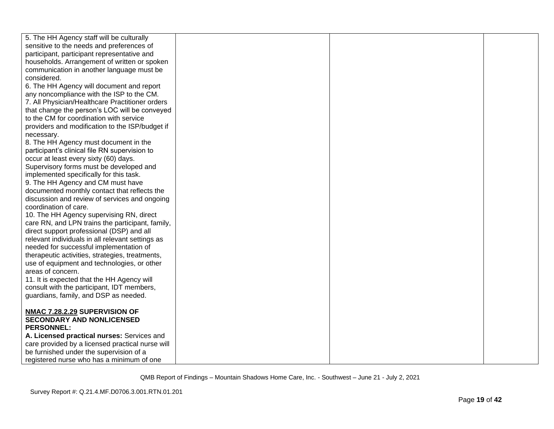| 5. The HH Agency staff will be culturally        |  |  |
|--------------------------------------------------|--|--|
| sensitive to the needs and preferences of        |  |  |
| participant, participant representative and      |  |  |
| households. Arrangement of written or spoken     |  |  |
| communication in another language must be        |  |  |
| considered.                                      |  |  |
| 6. The HH Agency will document and report        |  |  |
| any noncompliance with the ISP to the CM.        |  |  |
| 7. All Physician/Healthcare Practitioner orders  |  |  |
| that change the person's LOC will be conveyed    |  |  |
| to the CM for coordination with service          |  |  |
| providers and modification to the ISP/budget if  |  |  |
| necessary.                                       |  |  |
| 8. The HH Agency must document in the            |  |  |
| participant's clinical file RN supervision to    |  |  |
| occur at least every sixty (60) days.            |  |  |
| Supervisory forms must be developed and          |  |  |
| implemented specifically for this task.          |  |  |
| 9. The HH Agency and CM must have                |  |  |
| documented monthly contact that reflects the     |  |  |
| discussion and review of services and ongoing    |  |  |
| coordination of care.                            |  |  |
| 10. The HH Agency supervising RN, direct         |  |  |
| care RN, and LPN trains the participant, family, |  |  |
| direct support professional (DSP) and all        |  |  |
| relevant individuals in all relevant settings as |  |  |
| needed for successful implementation of          |  |  |
| therapeutic activities, strategies, treatments,  |  |  |
| use of equipment and technologies, or other      |  |  |
| areas of concern.                                |  |  |
| 11. It is expected that the HH Agency will       |  |  |
| consult with the participant, IDT members,       |  |  |
| guardians, family, and DSP as needed.            |  |  |
|                                                  |  |  |
| NMAC 7.28.2.29 SUPERVISION OF                    |  |  |
| <b>SECONDARY AND NONLICENSED</b>                 |  |  |
| <b>PERSONNEL:</b>                                |  |  |
| A. Licensed practical nurses: Services and       |  |  |
| care provided by a licensed practical nurse will |  |  |
| be furnished under the supervision of a          |  |  |
| registered nurse who has a minimum of one        |  |  |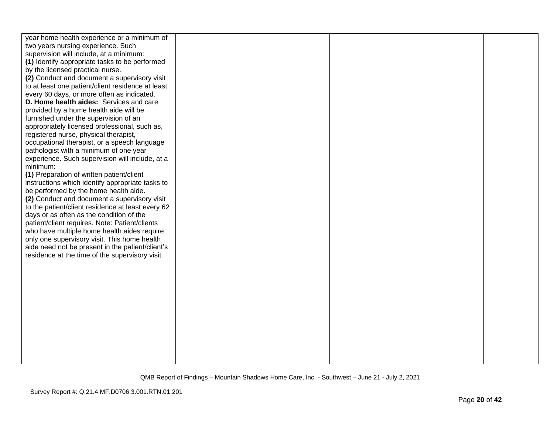| year home health experience or a minimum of<br>two years nursing experience. Such<br>supervision will include, at a minimum:<br>(1) Identify appropriate tasks to be performed<br>by the licensed practical nurse.<br>(2) Conduct and document a supervisory visit<br>to at least one patient/client residence at least<br>every 60 days, or more often as indicated.<br>D. Home health aides: Services and care<br>provided by a home health aide will be<br>furnished under the supervision of an<br>appropriately licensed professional, such as,<br>registered nurse, physical therapist,<br>occupational therapist, or a speech language<br>pathologist with a minimum of one year<br>experience. Such supervision will include, at a<br>minimum:<br>(1) Preparation of written patient/client<br>instructions which identify appropriate tasks to<br>be performed by the home health aide.<br>(2) Conduct and document a supervisory visit<br>to the patient/client residence at least every 62<br>days or as often as the condition of the<br>patient/client requires. Note: Patient/clients<br>who have multiple home health aides require<br>only one supervisory visit. This home health<br>aide need not be present in the patient/client's<br>residence at the time of the supervisory visit. |  |  |
|-----------------------------------------------------------------------------------------------------------------------------------------------------------------------------------------------------------------------------------------------------------------------------------------------------------------------------------------------------------------------------------------------------------------------------------------------------------------------------------------------------------------------------------------------------------------------------------------------------------------------------------------------------------------------------------------------------------------------------------------------------------------------------------------------------------------------------------------------------------------------------------------------------------------------------------------------------------------------------------------------------------------------------------------------------------------------------------------------------------------------------------------------------------------------------------------------------------------------------------------------------------------------------------------------------------|--|--|
|                                                                                                                                                                                                                                                                                                                                                                                                                                                                                                                                                                                                                                                                                                                                                                                                                                                                                                                                                                                                                                                                                                                                                                                                                                                                                                           |  |  |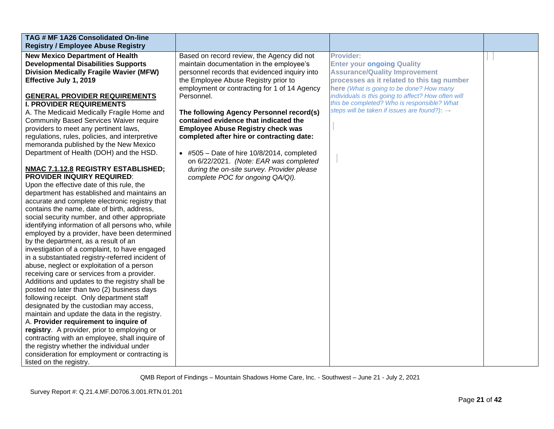| TAG # MF 1A26 Consolidated On-line<br><b>Registry / Employee Abuse Registry</b>                                                                                                                                                                                                                                                                                                                                                                                                                                                                                                                                                                                                                                                                                                                                                                                                                                                                                                                                                                                                                                                                                                                                                                                                                                                                                                                                                                                                                                                                                                                                                                                                                                |                                                                                                                                                                                                                                                                                                                                                                                                                                                                                                                                                                                                               |                                                                                                                                                                                                                                                                                                                                                           |  |
|----------------------------------------------------------------------------------------------------------------------------------------------------------------------------------------------------------------------------------------------------------------------------------------------------------------------------------------------------------------------------------------------------------------------------------------------------------------------------------------------------------------------------------------------------------------------------------------------------------------------------------------------------------------------------------------------------------------------------------------------------------------------------------------------------------------------------------------------------------------------------------------------------------------------------------------------------------------------------------------------------------------------------------------------------------------------------------------------------------------------------------------------------------------------------------------------------------------------------------------------------------------------------------------------------------------------------------------------------------------------------------------------------------------------------------------------------------------------------------------------------------------------------------------------------------------------------------------------------------------------------------------------------------------------------------------------------------------|---------------------------------------------------------------------------------------------------------------------------------------------------------------------------------------------------------------------------------------------------------------------------------------------------------------------------------------------------------------------------------------------------------------------------------------------------------------------------------------------------------------------------------------------------------------------------------------------------------------|-----------------------------------------------------------------------------------------------------------------------------------------------------------------------------------------------------------------------------------------------------------------------------------------------------------------------------------------------------------|--|
| <b>New Mexico Department of Health</b><br><b>Developmental Disabilities Supports</b><br><b>Division Medically Fragile Wavier (MFW)</b><br>Effective July 1, 2019<br><b>GENERAL PROVIDER REQUIREMENTS</b><br><b>I. PROVIDER REQUIREMENTS</b><br>A. The Medicaid Medically Fragile Home and<br><b>Community Based Services Waiver require</b><br>providers to meet any pertinent laws,<br>regulations, rules, policies, and interpretive<br>memoranda published by the New Mexico<br>Department of Health (DOH) and the HSD.<br>NMAC 7.1.12.8 REGISTRY ESTABLISHED;<br><b>PROVIDER INQUIRY REQUIRED:</b><br>Upon the effective date of this rule, the<br>department has established and maintains an<br>accurate and complete electronic registry that<br>contains the name, date of birth, address,<br>social security number, and other appropriate<br>identifying information of all persons who, while<br>employed by a provider, have been determined<br>by the department, as a result of an<br>investigation of a complaint, to have engaged<br>in a substantiated registry-referred incident of<br>abuse, neglect or exploitation of a person<br>receiving care or services from a provider.<br>Additions and updates to the registry shall be<br>posted no later than two (2) business days<br>following receipt. Only department staff<br>designated by the custodian may access,<br>maintain and update the data in the registry.<br>A. Provider requirement to inquire of<br>registry. A provider, prior to employing or<br>contracting with an employee, shall inquire of<br>the registry whether the individual under<br>consideration for employment or contracting is<br>listed on the registry. | Based on record review, the Agency did not<br>maintain documentation in the employee's<br>personnel records that evidenced inquiry into<br>the Employee Abuse Registry prior to<br>employment or contracting for 1 of 14 Agency<br>Personnel.<br>The following Agency Personnel record(s)<br>contained evidence that indicated the<br><b>Employee Abuse Registry check was</b><br>completed after hire or contracting date:<br>$\bullet$ #505 - Date of hire 10/8/2014, completed<br>on 6/22/2021. (Note: EAR was completed<br>during the on-site survey. Provider please<br>complete POC for ongoing QA/QI). | <b>Provider:</b><br><b>Enter your ongoing Quality</b><br><b>Assurance/Quality Improvement</b><br>processes as it related to this tag number<br>here (What is going to be done? How many<br>individuals is this going to affect? How often will<br>this be completed? Who is responsible? What<br>steps will be taken if issues are found?): $\rightarrow$ |  |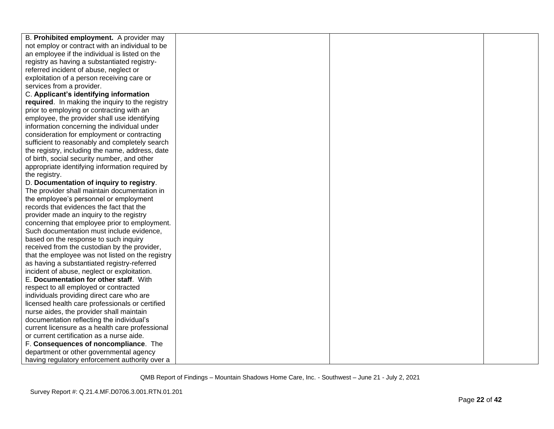| B. Prohibited employment. A provider may         |  |  |
|--------------------------------------------------|--|--|
| not employ or contract with an individual to be  |  |  |
| an employee if the individual is listed on the   |  |  |
| registry as having a substantiated registry-     |  |  |
| referred incident of abuse, neglect or           |  |  |
| exploitation of a person receiving care or       |  |  |
| services from a provider.                        |  |  |
| C. Applicant's identifying information           |  |  |
| required. In making the inquiry to the registry  |  |  |
| prior to employing or contracting with an        |  |  |
| employee, the provider shall use identifying     |  |  |
| information concerning the individual under      |  |  |
| consideration for employment or contracting      |  |  |
| sufficient to reasonably and completely search   |  |  |
| the registry, including the name, address, date  |  |  |
| of birth, social security number, and other      |  |  |
| appropriate identifying information required by  |  |  |
| the registry.                                    |  |  |
| D. Documentation of inquiry to registry.         |  |  |
| The provider shall maintain documentation in     |  |  |
| the employee's personnel or employment           |  |  |
| records that evidences the fact that the         |  |  |
| provider made an inquiry to the registry         |  |  |
| concerning that employee prior to employment.    |  |  |
| Such documentation must include evidence,        |  |  |
| based on the response to such inquiry            |  |  |
| received from the custodian by the provider,     |  |  |
| that the employee was not listed on the registry |  |  |
| as having a substantiated registry-referred      |  |  |
| incident of abuse, neglect or exploitation.      |  |  |
| E. Documentation for other staff. With           |  |  |
| respect to all employed or contracted            |  |  |
| individuals providing direct care who are        |  |  |
| licensed health care professionals or certified  |  |  |
| nurse aides, the provider shall maintain         |  |  |
| documentation reflecting the individual's        |  |  |
| current licensure as a health care professional  |  |  |
| or current certification as a nurse aide.        |  |  |
| F. Consequences of noncompliance. The            |  |  |
| department or other governmental agency          |  |  |
| having regulatory enforcement authority over a   |  |  |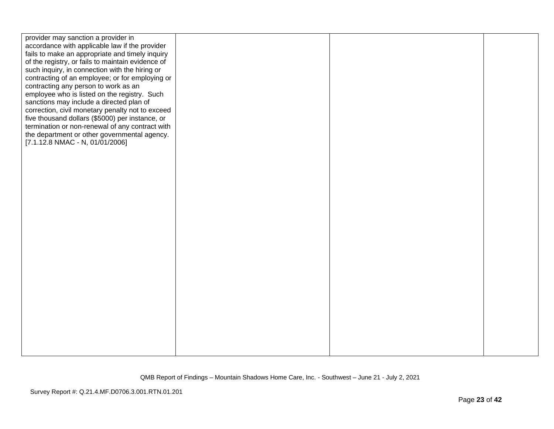| provider may sanction a provider in<br>accordance with applicable law if the provider<br>fails to make an appropriate and timely inquiry<br>of the registry, or fails to maintain evidence of<br>such inquiry, in connection with the hiring or<br>contracting of an employee; or for employing or<br>contracting any person to work as an<br>employee who is listed on the registry. Such<br>sanctions may include a directed plan of<br>correction, civil monetary penalty not to exceed<br>five thousand dollars (\$5000) per instance, or<br>termination or non-renewal of any contract with<br>the department or other governmental agency.<br>[7.1.12.8 NMAC - N, 01/01/2006] |  |  |
|-------------------------------------------------------------------------------------------------------------------------------------------------------------------------------------------------------------------------------------------------------------------------------------------------------------------------------------------------------------------------------------------------------------------------------------------------------------------------------------------------------------------------------------------------------------------------------------------------------------------------------------------------------------------------------------|--|--|
|                                                                                                                                                                                                                                                                                                                                                                                                                                                                                                                                                                                                                                                                                     |  |  |
|                                                                                                                                                                                                                                                                                                                                                                                                                                                                                                                                                                                                                                                                                     |  |  |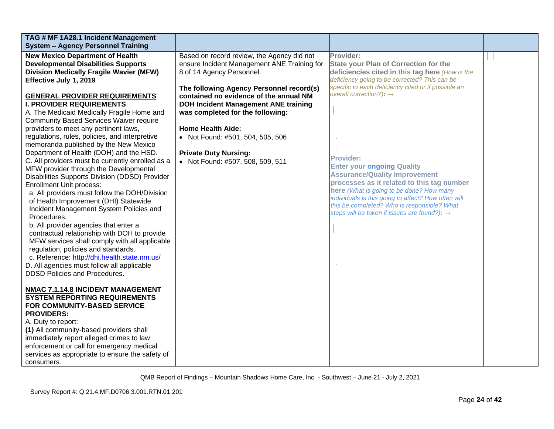| TAG # MF 1A28.1 Incident Management              |                                             |                                                          |  |
|--------------------------------------------------|---------------------------------------------|----------------------------------------------------------|--|
| <b>System - Agency Personnel Training</b>        |                                             |                                                          |  |
| <b>New Mexico Department of Health</b>           | Based on record review, the Agency did not  | Provider:                                                |  |
| <b>Developmental Disabilities Supports</b>       | ensure Incident Management ANE Training for | <b>State your Plan of Correction for the</b>             |  |
| <b>Division Medically Fragile Wavier (MFW)</b>   | 8 of 14 Agency Personnel.                   | deficiencies cited in this tag here (How is the          |  |
| Effective July 1, 2019                           |                                             | deficiency going to be corrected? This can be            |  |
|                                                  | The following Agency Personnel record(s)    | specific to each deficiency cited or if possible an      |  |
| <b>GENERAL PROVIDER REQUIREMENTS</b>             | contained no evidence of the annual NM      | overall correction?): $\rightarrow$                      |  |
| <b>I. PROVIDER REQUIREMENTS</b>                  | <b>DOH Incident Management ANE training</b> |                                                          |  |
| A. The Medicaid Medically Fragile Home and       | was completed for the following:            |                                                          |  |
| <b>Community Based Services Waiver require</b>   |                                             |                                                          |  |
| providers to meet any pertinent laws,            | <b>Home Health Aide:</b>                    |                                                          |  |
| regulations, rules, policies, and interpretive   | • Not Found: #501, 504, 505, 506            |                                                          |  |
| memoranda published by the New Mexico            |                                             |                                                          |  |
| Department of Health (DOH) and the HSD.          | <b>Private Duty Nursing:</b>                |                                                          |  |
| C. All providers must be currently enrolled as a | • Not Found: #507, 508, 509, 511            | <b>Provider:</b>                                         |  |
| MFW provider through the Developmental           |                                             | <b>Enter your ongoing Quality</b>                        |  |
| Disabilities Supports Division (DDSD) Provider   |                                             | <b>Assurance/Quality Improvement</b>                     |  |
| <b>Enrollment Unit process:</b>                  |                                             | processes as it related to this tag number               |  |
| a. All providers must follow the DOH/Division    |                                             | here (What is going to be done? How many                 |  |
| of Health Improvement (DHI) Statewide            |                                             | individuals is this going to affect? How often will      |  |
| Incident Management System Policies and          |                                             | this be completed? Who is responsible? What              |  |
| Procedures.                                      |                                             | steps will be taken if issues are found?): $\rightarrow$ |  |
| b. All provider agencies that enter a            |                                             |                                                          |  |
| contractual relationship with DOH to provide     |                                             |                                                          |  |
|                                                  |                                             |                                                          |  |
| MFW services shall comply with all applicable    |                                             |                                                          |  |
| regulation, policies and standards.              |                                             |                                                          |  |
| c. Reference: http://dhi.health.state.nm.us/     |                                             |                                                          |  |
| D. All agencies must follow all applicable       |                                             |                                                          |  |
| <b>DDSD Policies and Procedures.</b>             |                                             |                                                          |  |
|                                                  |                                             |                                                          |  |
| NMAC 7.1.14.8 INCIDENT MANAGEMENT                |                                             |                                                          |  |
| <b>SYSTEM REPORTING REQUIREMENTS</b>             |                                             |                                                          |  |
| FOR COMMUNITY-BASED SERVICE                      |                                             |                                                          |  |
| <b>PROVIDERS:</b>                                |                                             |                                                          |  |
| A. Duty to report:                               |                                             |                                                          |  |
| (1) All community-based providers shall          |                                             |                                                          |  |
| immediately report alleged crimes to law         |                                             |                                                          |  |
| enforcement or call for emergency medical        |                                             |                                                          |  |
| services as appropriate to ensure the safety of  |                                             |                                                          |  |
| consumers.                                       |                                             |                                                          |  |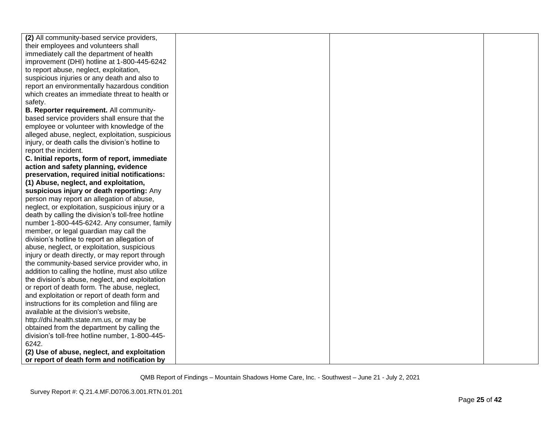| (2) All community-based service providers,         |  |  |
|----------------------------------------------------|--|--|
| their employees and volunteers shall               |  |  |
| immediately call the department of health          |  |  |
| improvement (DHI) hotline at 1-800-445-6242        |  |  |
| to report abuse, neglect, exploitation,            |  |  |
| suspicious injuries or any death and also to       |  |  |
| report an environmentally hazardous condition      |  |  |
| which creates an immediate threat to health or     |  |  |
| safety.                                            |  |  |
| B. Reporter requirement. All community-            |  |  |
| based service providers shall ensure that the      |  |  |
| employee or volunteer with knowledge of the        |  |  |
| alleged abuse, neglect, exploitation, suspicious   |  |  |
| injury, or death calls the division's hotline to   |  |  |
| report the incident.                               |  |  |
| C. Initial reports, form of report, immediate      |  |  |
| action and safety planning, evidence               |  |  |
| preservation, required initial notifications:      |  |  |
| (1) Abuse, neglect, and exploitation,              |  |  |
| suspicious injury or death reporting: Any          |  |  |
| person may report an allegation of abuse,          |  |  |
| neglect, or exploitation, suspicious injury or a   |  |  |
| death by calling the division's toll-free hotline  |  |  |
| number 1-800-445-6242. Any consumer, family        |  |  |
| member, or legal guardian may call the             |  |  |
| division's hotline to report an allegation of      |  |  |
| abuse, neglect, or exploitation, suspicious        |  |  |
| injury or death directly, or may report through    |  |  |
| the community-based service provider who, in       |  |  |
| addition to calling the hotline, must also utilize |  |  |
| the division's abuse, neglect, and exploitation    |  |  |
| or report of death form. The abuse, neglect,       |  |  |
| and exploitation or report of death form and       |  |  |
| instructions for its completion and filing are     |  |  |
| available at the division's website,               |  |  |
| http://dhi.health.state.nm.us, or may be           |  |  |
| obtained from the department by calling the        |  |  |
| division's toll-free hotline number, 1-800-445-    |  |  |
| 6242.                                              |  |  |
| (2) Use of abuse, neglect, and exploitation        |  |  |
| or report of death form and notification by        |  |  |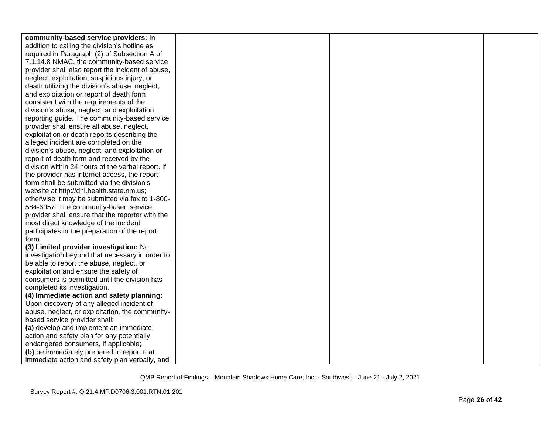| community-based service providers: In             |  |  |
|---------------------------------------------------|--|--|
| addition to calling the division's hotline as     |  |  |
| required in Paragraph (2) of Subsection A of      |  |  |
| 7.1.14.8 NMAC, the community-based service        |  |  |
| provider shall also report the incident of abuse, |  |  |
| neglect, exploitation, suspicious injury, or      |  |  |
| death utilizing the division's abuse, neglect,    |  |  |
| and exploitation or report of death form          |  |  |
| consistent with the requirements of the           |  |  |
| division's abuse, neglect, and exploitation       |  |  |
| reporting guide. The community-based service      |  |  |
| provider shall ensure all abuse, neglect,         |  |  |
| exploitation or death reports describing the      |  |  |
|                                                   |  |  |
| alleged incident are completed on the             |  |  |
| division's abuse, neglect, and exploitation or    |  |  |
| report of death form and received by the          |  |  |
| division within 24 hours of the verbal report. If |  |  |
| the provider has internet access, the report      |  |  |
| form shall be submitted via the division's        |  |  |
| website at http://dhi.health.state.nm.us;         |  |  |
| otherwise it may be submitted via fax to 1-800-   |  |  |
| 584-6057. The community-based service             |  |  |
| provider shall ensure that the reporter with the  |  |  |
| most direct knowledge of the incident             |  |  |
| participates in the preparation of the report     |  |  |
| form.                                             |  |  |
| (3) Limited provider investigation: No            |  |  |
| investigation beyond that necessary in order to   |  |  |
| be able to report the abuse, neglect, or          |  |  |
| exploitation and ensure the safety of             |  |  |
| consumers is permitted until the division has     |  |  |
| completed its investigation.                      |  |  |
| (4) Immediate action and safety planning:         |  |  |
| Upon discovery of any alleged incident of         |  |  |
| abuse, neglect, or exploitation, the community-   |  |  |
| based service provider shall:                     |  |  |
| (a) develop and implement an immediate            |  |  |
| action and safety plan for any potentially        |  |  |
| endangered consumers, if applicable;              |  |  |
| (b) be immediately prepared to report that        |  |  |
| immediate action and safety plan verbally, and    |  |  |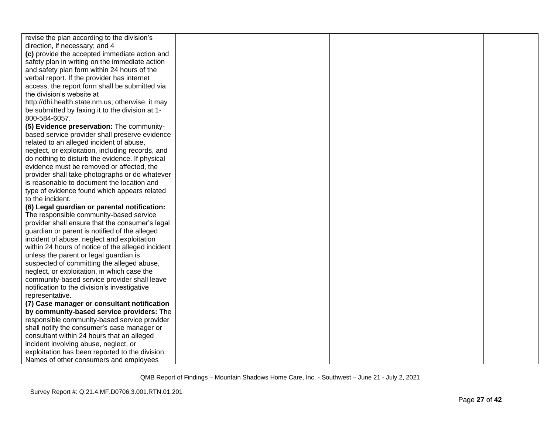| revise the plan according to the division's       |  |  |
|---------------------------------------------------|--|--|
| direction, if necessary; and 4                    |  |  |
| (c) provide the accepted immediate action and     |  |  |
| safety plan in writing on the immediate action    |  |  |
| and safety plan form within 24 hours of the       |  |  |
| verbal report. If the provider has internet       |  |  |
| access, the report form shall be submitted via    |  |  |
| the division's website at                         |  |  |
| http://dhi.health.state.nm.us; otherwise, it may  |  |  |
| be submitted by faxing it to the division at 1-   |  |  |
| 800-584-6057.                                     |  |  |
| (5) Evidence preservation: The community-         |  |  |
| based service provider shall preserve evidence    |  |  |
| related to an alleged incident of abuse,          |  |  |
| neglect, or exploitation, including records, and  |  |  |
| do nothing to disturb the evidence. If physical   |  |  |
| evidence must be removed or affected, the         |  |  |
| provider shall take photographs or do whatever    |  |  |
| is reasonable to document the location and        |  |  |
| type of evidence found which appears related      |  |  |
| to the incident.                                  |  |  |
| (6) Legal guardian or parental notification:      |  |  |
| The responsible community-based service           |  |  |
| provider shall ensure that the consumer's legal   |  |  |
| guardian or parent is notified of the alleged     |  |  |
| incident of abuse, neglect and exploitation       |  |  |
| within 24 hours of notice of the alleged incident |  |  |
| unless the parent or legal guardian is            |  |  |
| suspected of committing the alleged abuse,        |  |  |
| neglect, or exploitation, in which case the       |  |  |
| community-based service provider shall leave      |  |  |
| notification to the division's investigative      |  |  |
| representative.                                   |  |  |
| (7) Case manager or consultant notification       |  |  |
| by community-based service providers: The         |  |  |
| responsible community-based service provider      |  |  |
| shall notify the consumer's case manager or       |  |  |
| consultant within 24 hours that an alleged        |  |  |
| incident involving abuse, neglect, or             |  |  |
| exploitation has been reported to the division.   |  |  |
| Names of other consumers and employees            |  |  |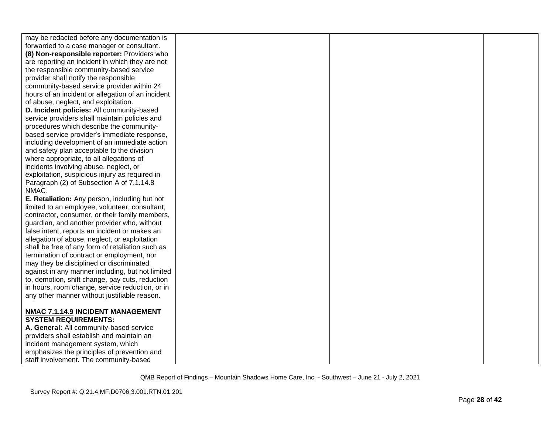| may be redacted before any documentation is       |  |  |
|---------------------------------------------------|--|--|
| forwarded to a case manager or consultant.        |  |  |
| (8) Non-responsible reporter: Providers who       |  |  |
| are reporting an incident in which they are not   |  |  |
| the responsible community-based service           |  |  |
| provider shall notify the responsible             |  |  |
| community-based service provider within 24        |  |  |
| hours of an incident or allegation of an incident |  |  |
| of abuse, neglect, and exploitation.              |  |  |
| D. Incident policies: All community-based         |  |  |
| service providers shall maintain policies and     |  |  |
| procedures which describe the community-          |  |  |
| based service provider's immediate response,      |  |  |
| including development of an immediate action      |  |  |
| and safety plan acceptable to the division        |  |  |
| where appropriate, to all allegations of          |  |  |
| incidents involving abuse, neglect, or            |  |  |
| exploitation, suspicious injury as required in    |  |  |
| Paragraph (2) of Subsection A of 7.1.14.8         |  |  |
| NMAC.                                             |  |  |
| E. Retaliation: Any person, including but not     |  |  |
| limited to an employee, volunteer, consultant,    |  |  |
| contractor, consumer, or their family members,    |  |  |
| guardian, and another provider who, without       |  |  |
| false intent, reports an incident or makes an     |  |  |
| allegation of abuse, neglect, or exploitation     |  |  |
| shall be free of any form of retaliation such as  |  |  |
| termination of contract or employment, nor        |  |  |
| may they be disciplined or discriminated          |  |  |
| against in any manner including, but not limited  |  |  |
| to, demotion, shift change, pay cuts, reduction   |  |  |
| in hours, room change, service reduction, or in   |  |  |
| any other manner without justifiable reason.      |  |  |
|                                                   |  |  |
| NMAC 7.1.14.9 INCIDENT MANAGEMENT                 |  |  |
| <b>SYSTEM REQUIREMENTS:</b>                       |  |  |
| A. General: All community-based service           |  |  |
| providers shall establish and maintain an         |  |  |
| incident management system, which                 |  |  |
| emphasizes the principles of prevention and       |  |  |
| staff involvement. The community-based            |  |  |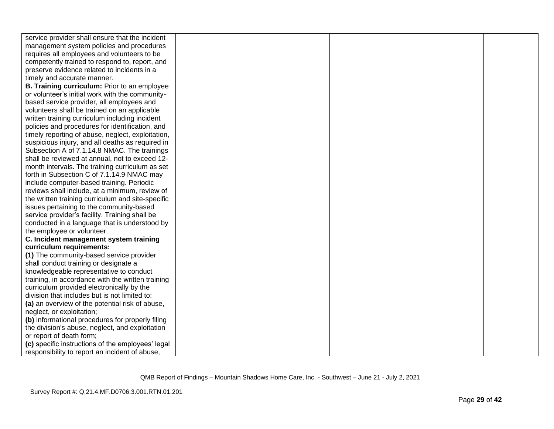| service provider shall ensure that the incident   |  |  |
|---------------------------------------------------|--|--|
| management system policies and procedures         |  |  |
| requires all employees and volunteers to be       |  |  |
| competently trained to respond to, report, and    |  |  |
| preserve evidence related to incidents in a       |  |  |
| timely and accurate manner.                       |  |  |
| B. Training curriculum: Prior to an employee      |  |  |
| or volunteer's initial work with the community-   |  |  |
| based service provider, all employees and         |  |  |
| volunteers shall be trained on an applicable      |  |  |
| written training curriculum including incident    |  |  |
| policies and procedures for identification, and   |  |  |
| timely reporting of abuse, neglect, exploitation, |  |  |
| suspicious injury, and all deaths as required in  |  |  |
| Subsection A of 7.1.14.8 NMAC. The trainings      |  |  |
| shall be reviewed at annual, not to exceed 12-    |  |  |
| month intervals. The training curriculum as set   |  |  |
| forth in Subsection C of 7.1.14.9 NMAC may        |  |  |
| include computer-based training. Periodic         |  |  |
| reviews shall include, at a minimum, review of    |  |  |
| the written training curriculum and site-specific |  |  |
| issues pertaining to the community-based          |  |  |
| service provider's facility. Training shall be    |  |  |
| conducted in a language that is understood by     |  |  |
| the employee or volunteer.                        |  |  |
| C. Incident management system training            |  |  |
| curriculum requirements:                          |  |  |
| (1) The community-based service provider          |  |  |
| shall conduct training or designate a             |  |  |
| knowledgeable representative to conduct           |  |  |
| training, in accordance with the written training |  |  |
| curriculum provided electronically by the         |  |  |
| division that includes but is not limited to:     |  |  |
| (a) an overview of the potential risk of abuse,   |  |  |
| neglect, or exploitation;                         |  |  |
| (b) informational procedures for properly filing  |  |  |
| the division's abuse, neglect, and exploitation   |  |  |
| or report of death form;                          |  |  |
| (c) specific instructions of the employees' legal |  |  |
| responsibility to report an incident of abuse,    |  |  |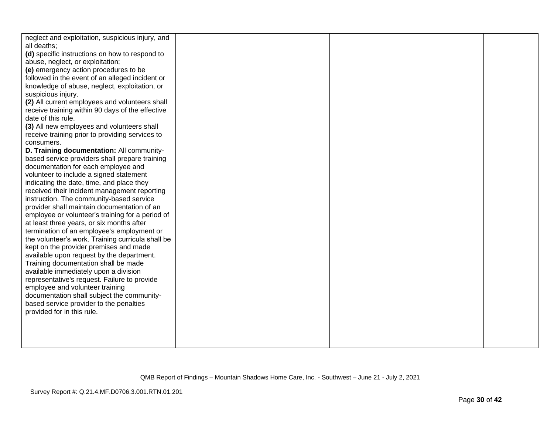| neglect and exploitation, suspicious injury, and<br>all deaths; |  |  |
|-----------------------------------------------------------------|--|--|
| (d) specific instructions on how to respond to                  |  |  |
| abuse, neglect, or exploitation;                                |  |  |
| (e) emergency action procedures to be                           |  |  |
| followed in the event of an alleged incident or                 |  |  |
| knowledge of abuse, neglect, exploitation, or                   |  |  |
| suspicious injury.                                              |  |  |
| (2) All current employees and volunteers shall                  |  |  |
| receive training within 90 days of the effective                |  |  |
| date of this rule.                                              |  |  |
| (3) All new employees and volunteers shall                      |  |  |
| receive training prior to providing services to                 |  |  |
| consumers.                                                      |  |  |
| D. Training documentation: All community-                       |  |  |
| based service providers shall prepare training                  |  |  |
| documentation for each employee and                             |  |  |
| volunteer to include a signed statement                         |  |  |
| indicating the date, time, and place they                       |  |  |
| received their incident management reporting                    |  |  |
| instruction. The community-based service                        |  |  |
| provider shall maintain documentation of an                     |  |  |
| employee or volunteer's training for a period of                |  |  |
| at least three years, or six months after                       |  |  |
| termination of an employee's employment or                      |  |  |
| the volunteer's work. Training curricula shall be               |  |  |
| kept on the provider premises and made                          |  |  |
| available upon request by the department.                       |  |  |
| Training documentation shall be made                            |  |  |
| available immediately upon a division                           |  |  |
| representative's request. Failure to provide                    |  |  |
| employee and volunteer training                                 |  |  |
| documentation shall subject the community-                      |  |  |
| based service provider to the penalties                         |  |  |
| provided for in this rule.                                      |  |  |
|                                                                 |  |  |
|                                                                 |  |  |
|                                                                 |  |  |
|                                                                 |  |  |
|                                                                 |  |  |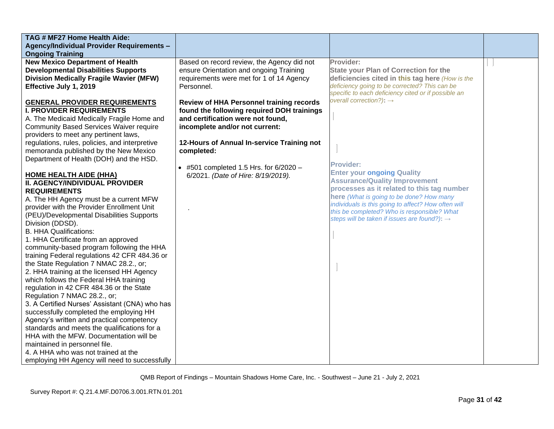| TAG # MF27 Home Health Aide:<br><b>Agency/Individual Provider Requirements -</b>                                                                                                                                                                                   |                                                                                                                                                                                                                    |                                                                                                                                                                                                                                                             |  |
|--------------------------------------------------------------------------------------------------------------------------------------------------------------------------------------------------------------------------------------------------------------------|--------------------------------------------------------------------------------------------------------------------------------------------------------------------------------------------------------------------|-------------------------------------------------------------------------------------------------------------------------------------------------------------------------------------------------------------------------------------------------------------|--|
| <b>Ongoing Training</b><br><b>New Mexico Department of Health</b><br><b>Developmental Disabilities Supports</b><br><b>Division Medically Fragile Wavier (MFW)</b><br>Effective July 1, 2019                                                                        | Based on record review, the Agency did not<br>ensure Orientation and ongoing Training<br>requirements were met for 1 of 14 Agency<br>Personnel.                                                                    | Provider:<br><b>State your Plan of Correction for the</b><br>deficiencies cited in this tag here (How is the<br>deficiency going to be corrected? This can be<br>specific to each deficiency cited or if possible an<br>overall correction?): $\rightarrow$ |  |
| <b>GENERAL PROVIDER REQUIREMENTS</b><br><b>I. PROVIDER REQUIREMENTS</b><br>A. The Medicaid Medically Fragile Home and<br><b>Community Based Services Waiver require</b><br>providers to meet any pertinent laws,<br>regulations, rules, policies, and interpretive | <b>Review of HHA Personnel training records</b><br>found the following required DOH trainings<br>and certification were not found,<br>incomplete and/or not current:<br>12-Hours of Annual In-service Training not |                                                                                                                                                                                                                                                             |  |
| memoranda published by the New Mexico<br>Department of Health (DOH) and the HSD.                                                                                                                                                                                   | completed:<br>• #501 completed 1.5 Hrs. for $6/2020 -$                                                                                                                                                             | <b>Provider:</b>                                                                                                                                                                                                                                            |  |
| <b>HOME HEALTH AIDE (HHA)</b><br><b>II. AGENCY/INDIVIDUAL PROVIDER</b><br><b>REQUIREMENTS</b><br>A. The HH Agency must be a current MFW<br>provider with the Provider Enrollment Unit                                                                              | 6/2021. (Date of Hire: 8/19/2019).                                                                                                                                                                                 | <b>Enter your ongoing Quality</b><br><b>Assurance/Quality Improvement</b><br>processes as it related to this tag number<br>here (What is going to be done? How many<br>individuals is this going to affect? How often will                                  |  |
| (PEU)/Developmental Disabilities Supports<br>Division (DDSD).<br><b>B. HHA Qualifications:</b><br>1. HHA Certificate from an approved                                                                                                                              |                                                                                                                                                                                                                    | this be completed? Who is responsible? What<br>steps will be taken if issues are found?): $\rightarrow$                                                                                                                                                     |  |
| community-based program following the HHA<br>training Federal regulations 42 CFR 484.36 or<br>the State Regulation 7 NMAC 28.2., or;<br>2. HHA training at the licensed HH Agency<br>which follows the Federal HHA training                                        |                                                                                                                                                                                                                    |                                                                                                                                                                                                                                                             |  |
| regulation in 42 CFR 484.36 or the State<br>Regulation 7 NMAC 28.2., or;<br>3. A Certified Nurses' Assistant (CNA) who has<br>successfully completed the employing HH                                                                                              |                                                                                                                                                                                                                    |                                                                                                                                                                                                                                                             |  |
| Agency's written and practical competency<br>standards and meets the qualifications for a<br>HHA with the MFW. Documentation will be<br>maintained in personnel file.<br>4. A HHA who was not trained at the                                                       |                                                                                                                                                                                                                    |                                                                                                                                                                                                                                                             |  |
| employing HH Agency will need to successfully                                                                                                                                                                                                                      |                                                                                                                                                                                                                    |                                                                                                                                                                                                                                                             |  |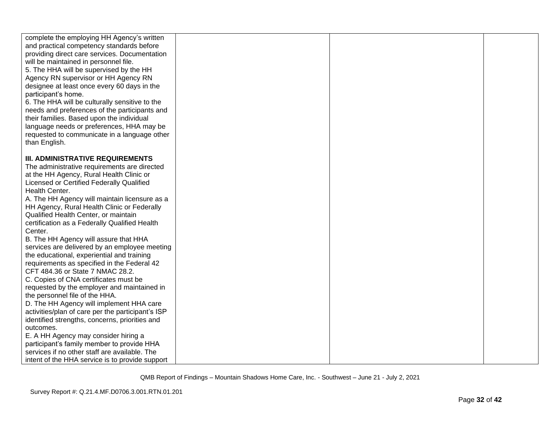| complete the employing HH Agency's written<br>and practical competency standards before<br>providing direct care services. Documentation<br>will be maintained in personnel file.<br>5. The HHA will be supervised by the HH<br>Agency RN supervisor or HH Agency RN<br>designee at least once every 60 days in the<br>participant's home.<br>6. The HHA will be culturally sensitive to the<br>needs and preferences of the participants and<br>their families. Based upon the individual<br>language needs or preferences, HHA may be<br>requested to communicate in a language other<br>than English. |  |  |
|----------------------------------------------------------------------------------------------------------------------------------------------------------------------------------------------------------------------------------------------------------------------------------------------------------------------------------------------------------------------------------------------------------------------------------------------------------------------------------------------------------------------------------------------------------------------------------------------------------|--|--|
| <b>III. ADMINISTRATIVE REQUIREMENTS</b>                                                                                                                                                                                                                                                                                                                                                                                                                                                                                                                                                                  |  |  |
| The administrative requirements are directed<br>at the HH Agency, Rural Health Clinic or                                                                                                                                                                                                                                                                                                                                                                                                                                                                                                                 |  |  |
| Licensed or Certified Federally Qualified                                                                                                                                                                                                                                                                                                                                                                                                                                                                                                                                                                |  |  |
| Health Center.                                                                                                                                                                                                                                                                                                                                                                                                                                                                                                                                                                                           |  |  |
| A. The HH Agency will maintain licensure as a                                                                                                                                                                                                                                                                                                                                                                                                                                                                                                                                                            |  |  |
| HH Agency, Rural Health Clinic or Federally                                                                                                                                                                                                                                                                                                                                                                                                                                                                                                                                                              |  |  |
| Qualified Health Center, or maintain                                                                                                                                                                                                                                                                                                                                                                                                                                                                                                                                                                     |  |  |
| certification as a Federally Qualified Health                                                                                                                                                                                                                                                                                                                                                                                                                                                                                                                                                            |  |  |
| Center.                                                                                                                                                                                                                                                                                                                                                                                                                                                                                                                                                                                                  |  |  |
| B. The HH Agency will assure that HHA                                                                                                                                                                                                                                                                                                                                                                                                                                                                                                                                                                    |  |  |
| services are delivered by an employee meeting                                                                                                                                                                                                                                                                                                                                                                                                                                                                                                                                                            |  |  |
| the educational, experiential and training<br>requirements as specified in the Federal 42                                                                                                                                                                                                                                                                                                                                                                                                                                                                                                                |  |  |
| CFT 484.36 or State 7 NMAC 28.2.                                                                                                                                                                                                                                                                                                                                                                                                                                                                                                                                                                         |  |  |
| C. Copies of CNA certificates must be                                                                                                                                                                                                                                                                                                                                                                                                                                                                                                                                                                    |  |  |
| requested by the employer and maintained in                                                                                                                                                                                                                                                                                                                                                                                                                                                                                                                                                              |  |  |
| the personnel file of the HHA.                                                                                                                                                                                                                                                                                                                                                                                                                                                                                                                                                                           |  |  |
| D. The HH Agency will implement HHA care                                                                                                                                                                                                                                                                                                                                                                                                                                                                                                                                                                 |  |  |
| activities/plan of care per the participant's ISP                                                                                                                                                                                                                                                                                                                                                                                                                                                                                                                                                        |  |  |
| identified strengths, concerns, priorities and                                                                                                                                                                                                                                                                                                                                                                                                                                                                                                                                                           |  |  |
| outcomes.                                                                                                                                                                                                                                                                                                                                                                                                                                                                                                                                                                                                |  |  |
| E. A HH Agency may consider hiring a                                                                                                                                                                                                                                                                                                                                                                                                                                                                                                                                                                     |  |  |
| participant's family member to provide HHA<br>services if no other staff are available. The                                                                                                                                                                                                                                                                                                                                                                                                                                                                                                              |  |  |
| intent of the HHA service is to provide support                                                                                                                                                                                                                                                                                                                                                                                                                                                                                                                                                          |  |  |
|                                                                                                                                                                                                                                                                                                                                                                                                                                                                                                                                                                                                          |  |  |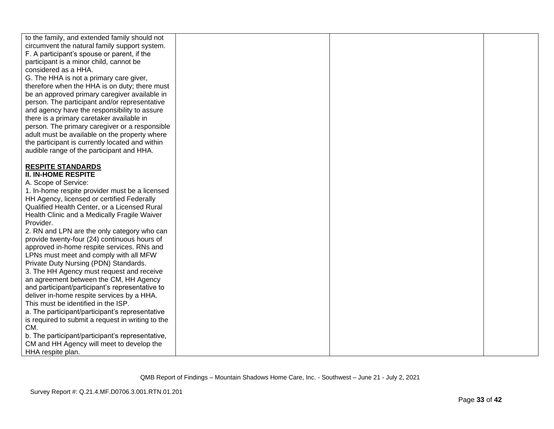| to the family, and extended family should not<br>circumvent the natural family support system.<br>F. A participant's spouse or parent, if the<br>participant is a minor child, cannot be<br>considered as a HHA.<br>G. The HHA is not a primary care giver,<br>therefore when the HHA is on duty; there must<br>be an approved primary caregiver available in<br>person. The participant and/or representative<br>and agency have the responsibility to assure<br>there is a primary caretaker available in<br>person. The primary caregiver or a responsible<br>adult must be available on the property where<br>the participant is currently located and within<br>audible range of the participant and HHA. |  |  |
|----------------------------------------------------------------------------------------------------------------------------------------------------------------------------------------------------------------------------------------------------------------------------------------------------------------------------------------------------------------------------------------------------------------------------------------------------------------------------------------------------------------------------------------------------------------------------------------------------------------------------------------------------------------------------------------------------------------|--|--|
|                                                                                                                                                                                                                                                                                                                                                                                                                                                                                                                                                                                                                                                                                                                |  |  |
| <b>RESPITE STANDARDS</b><br><b>II. IN-HOME RESPITE</b><br>A. Scope of Service:<br>1. In-home respite provider must be a licensed                                                                                                                                                                                                                                                                                                                                                                                                                                                                                                                                                                               |  |  |
| HH Agency, licensed or certified Federally                                                                                                                                                                                                                                                                                                                                                                                                                                                                                                                                                                                                                                                                     |  |  |
| Qualified Health Center, or a Licensed Rural                                                                                                                                                                                                                                                                                                                                                                                                                                                                                                                                                                                                                                                                   |  |  |
| Health Clinic and a Medically Fragile Waiver                                                                                                                                                                                                                                                                                                                                                                                                                                                                                                                                                                                                                                                                   |  |  |
| Provider.                                                                                                                                                                                                                                                                                                                                                                                                                                                                                                                                                                                                                                                                                                      |  |  |
| 2. RN and LPN are the only category who can                                                                                                                                                                                                                                                                                                                                                                                                                                                                                                                                                                                                                                                                    |  |  |
| provide twenty-four (24) continuous hours of                                                                                                                                                                                                                                                                                                                                                                                                                                                                                                                                                                                                                                                                   |  |  |
| approved in-home respite services. RNs and                                                                                                                                                                                                                                                                                                                                                                                                                                                                                                                                                                                                                                                                     |  |  |
| LPNs must meet and comply with all MFW                                                                                                                                                                                                                                                                                                                                                                                                                                                                                                                                                                                                                                                                         |  |  |
| Private Duty Nursing (PDN) Standards.                                                                                                                                                                                                                                                                                                                                                                                                                                                                                                                                                                                                                                                                          |  |  |
| 3. The HH Agency must request and receive                                                                                                                                                                                                                                                                                                                                                                                                                                                                                                                                                                                                                                                                      |  |  |
| an agreement between the CM, HH Agency                                                                                                                                                                                                                                                                                                                                                                                                                                                                                                                                                                                                                                                                         |  |  |
| and participant/participant's representative to                                                                                                                                                                                                                                                                                                                                                                                                                                                                                                                                                                                                                                                                |  |  |
| deliver in-home respite services by a HHA.                                                                                                                                                                                                                                                                                                                                                                                                                                                                                                                                                                                                                                                                     |  |  |
| This must be identified in the ISP.                                                                                                                                                                                                                                                                                                                                                                                                                                                                                                                                                                                                                                                                            |  |  |
| a. The participant/participant's representative                                                                                                                                                                                                                                                                                                                                                                                                                                                                                                                                                                                                                                                                |  |  |
| is required to submit a request in writing to the                                                                                                                                                                                                                                                                                                                                                                                                                                                                                                                                                                                                                                                              |  |  |
| CM.                                                                                                                                                                                                                                                                                                                                                                                                                                                                                                                                                                                                                                                                                                            |  |  |
| b. The participant/participant's representative,<br>CM and HH Agency will meet to develop the                                                                                                                                                                                                                                                                                                                                                                                                                                                                                                                                                                                                                  |  |  |
| HHA respite plan.                                                                                                                                                                                                                                                                                                                                                                                                                                                                                                                                                                                                                                                                                              |  |  |
|                                                                                                                                                                                                                                                                                                                                                                                                                                                                                                                                                                                                                                                                                                                |  |  |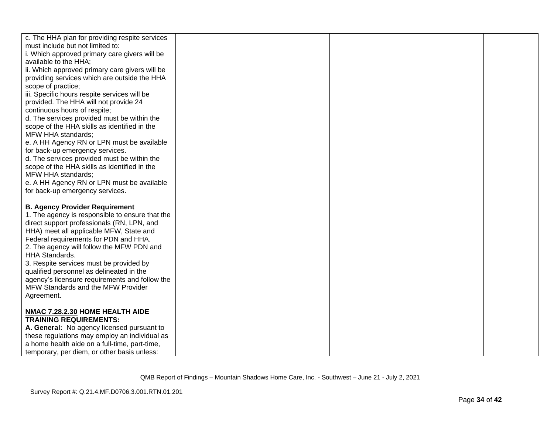| c. The HHA plan for providing respite services                                              |  |  |
|---------------------------------------------------------------------------------------------|--|--|
| must include but not limited to:<br>i. Which approved primary care givers will be           |  |  |
| available to the HHA;                                                                       |  |  |
| ii. Which approved primary care givers will be                                              |  |  |
| providing services which are outside the HHA                                                |  |  |
| scope of practice;                                                                          |  |  |
| iii. Specific hours respite services will be                                                |  |  |
| provided. The HHA will not provide 24                                                       |  |  |
| continuous hours of respite;                                                                |  |  |
| d. The services provided must be within the<br>scope of the HHA skills as identified in the |  |  |
| MFW HHA standards;                                                                          |  |  |
| e. A HH Agency RN or LPN must be available                                                  |  |  |
| for back-up emergency services.                                                             |  |  |
| d. The services provided must be within the                                                 |  |  |
| scope of the HHA skills as identified in the                                                |  |  |
| MFW HHA standards;                                                                          |  |  |
| e. A HH Agency RN or LPN must be available<br>for back-up emergency services.               |  |  |
|                                                                                             |  |  |
| <b>B. Agency Provider Requirement</b>                                                       |  |  |
| 1. The agency is responsible to ensure that the                                             |  |  |
| direct support professionals (RN, LPN, and                                                  |  |  |
| HHA) meet all applicable MFW, State and                                                     |  |  |
| Federal requirements for PDN and HHA.                                                       |  |  |
| 2. The agency will follow the MFW PDN and<br><b>HHA Standards.</b>                          |  |  |
| 3. Respite services must be provided by                                                     |  |  |
| qualified personnel as delineated in the                                                    |  |  |
| agency's licensure requirements and follow the                                              |  |  |
| MFW Standards and the MFW Provider                                                          |  |  |
| Agreement.                                                                                  |  |  |
| NMAC 7.28.2.30 HOME HEALTH AIDE                                                             |  |  |
| <b>TRAINING REQUIREMENTS:</b>                                                               |  |  |
| A. General: No agency licensed pursuant to                                                  |  |  |
| these regulations may employ an individual as                                               |  |  |
| a home health aide on a full-time, part-time,                                               |  |  |
| temporary, per diem, or other basis unless:                                                 |  |  |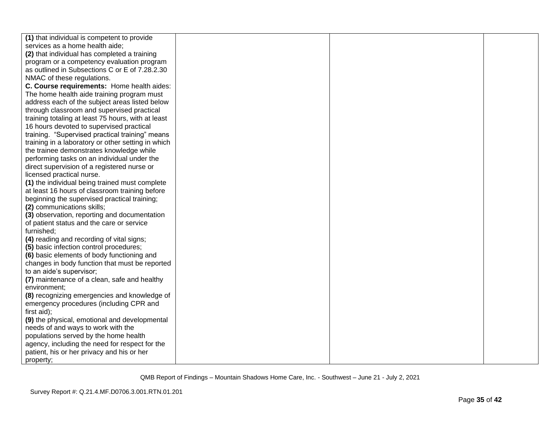| (1) that individual is competent to provide        |  |  |
|----------------------------------------------------|--|--|
| services as a home health aide;                    |  |  |
| (2) that individual has completed a training       |  |  |
| program or a competency evaluation program         |  |  |
| as outlined in Subsections C or E of 7.28.2.30     |  |  |
| NMAC of these regulations.                         |  |  |
| C. Course requirements: Home health aides:         |  |  |
| The home health aide training program must         |  |  |
| address each of the subject areas listed below     |  |  |
| through classroom and supervised practical         |  |  |
| training totaling at least 75 hours, with at least |  |  |
| 16 hours devoted to supervised practical           |  |  |
| training. "Supervised practical training" means    |  |  |
| training in a laboratory or other setting in which |  |  |
| the trainee demonstrates knowledge while           |  |  |
| performing tasks on an individual under the        |  |  |
| direct supervision of a registered nurse or        |  |  |
| licensed practical nurse.                          |  |  |
| (1) the individual being trained must complete     |  |  |
| at least 16 hours of classroom training before     |  |  |
| beginning the supervised practical training;       |  |  |
| (2) communications skills;                         |  |  |
| (3) observation, reporting and documentation       |  |  |
| of patient status and the care or service          |  |  |
| furnished;                                         |  |  |
| (4) reading and recording of vital signs;          |  |  |
| (5) basic infection control procedures;            |  |  |
| (6) basic elements of body functioning and         |  |  |
| changes in body function that must be reported     |  |  |
| to an aide's supervisor;                           |  |  |
| (7) maintenance of a clean, safe and healthy       |  |  |
| environment:                                       |  |  |
| (8) recognizing emergencies and knowledge of       |  |  |
| emergency procedures (including CPR and            |  |  |
| first aid);                                        |  |  |
| (9) the physical, emotional and developmental      |  |  |
| needs of and ways to work with the                 |  |  |
| populations served by the home health              |  |  |
| agency, including the need for respect for the     |  |  |
| patient, his or her privacy and his or her         |  |  |
| property;                                          |  |  |
|                                                    |  |  |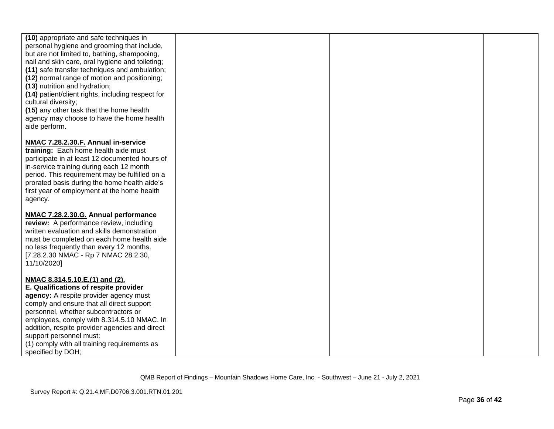| (10) appropriate and safe techniques in<br>personal hygiene and grooming that include,<br>but are not limited to, bathing, shampooing,<br>nail and skin care, oral hygiene and toileting;<br>(11) safe transfer techniques and ambulation;<br>(12) normal range of motion and positioning;<br>(13) nutrition and hydration;<br>(14) patient/client rights, including respect for<br>cultural diversity;<br>(15) any other task that the home health<br>agency may choose to have the home health<br>aide perform. |  |  |
|-------------------------------------------------------------------------------------------------------------------------------------------------------------------------------------------------------------------------------------------------------------------------------------------------------------------------------------------------------------------------------------------------------------------------------------------------------------------------------------------------------------------|--|--|
| NMAC 7.28.2.30.F. Annual in-service<br>training: Each home health aide must<br>participate in at least 12 documented hours of<br>in-service training during each 12 month<br>period. This requirement may be fulfilled on a<br>prorated basis during the home health aide's<br>first year of employment at the home health<br>agency.                                                                                                                                                                             |  |  |
| NMAC 7.28.2.30.G. Annual performance<br>review: A performance review, including<br>written evaluation and skills demonstration<br>must be completed on each home health aide<br>no less frequently than every 12 months.<br>[7.28.2.30 NMAC - Rp 7 NMAC 28.2.30,<br>11/10/2020]                                                                                                                                                                                                                                   |  |  |
| NMAC 8.314.5.10.E.(1) and (2).<br>E. Qualifications of respite provider<br>agency: A respite provider agency must<br>comply and ensure that all direct support<br>personnel, whether subcontractors or<br>employees, comply with 8.314.5.10 NMAC. In<br>addition, respite provider agencies and direct<br>support personnel must:<br>(1) comply with all training requirements as<br>specified by DOH;                                                                                                            |  |  |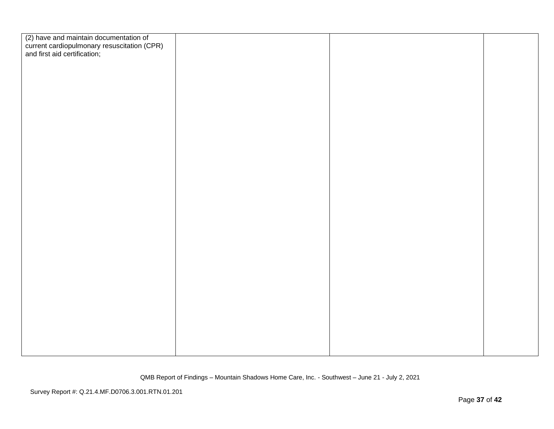| (2) have and maintain documentation of<br>current cardiopulmonary resuscitation (CPR)<br>and first aid certification; |  |  |
|-----------------------------------------------------------------------------------------------------------------------|--|--|
|                                                                                                                       |  |  |
|                                                                                                                       |  |  |
|                                                                                                                       |  |  |
|                                                                                                                       |  |  |
|                                                                                                                       |  |  |
|                                                                                                                       |  |  |
|                                                                                                                       |  |  |
|                                                                                                                       |  |  |
|                                                                                                                       |  |  |
|                                                                                                                       |  |  |
|                                                                                                                       |  |  |
|                                                                                                                       |  |  |
|                                                                                                                       |  |  |
|                                                                                                                       |  |  |
|                                                                                                                       |  |  |
|                                                                                                                       |  |  |
|                                                                                                                       |  |  |
|                                                                                                                       |  |  |
|                                                                                                                       |  |  |
|                                                                                                                       |  |  |
|                                                                                                                       |  |  |
|                                                                                                                       |  |  |
|                                                                                                                       |  |  |
|                                                                                                                       |  |  |
|                                                                                                                       |  |  |
|                                                                                                                       |  |  |
|                                                                                                                       |  |  |
|                                                                                                                       |  |  |
|                                                                                                                       |  |  |
|                                                                                                                       |  |  |
|                                                                                                                       |  |  |
|                                                                                                                       |  |  |
|                                                                                                                       |  |  |
|                                                                                                                       |  |  |
|                                                                                                                       |  |  |
|                                                                                                                       |  |  |
|                                                                                                                       |  |  |
|                                                                                                                       |  |  |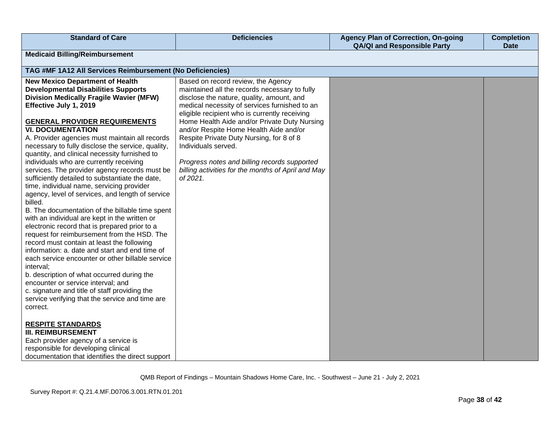| <b>Standard of Care</b>                                                                                                                                                                                                                                                                                                                                                                                                                                                                                                                                                                                                                                                                                                                                                                                                                                                                                                                                                                                                                                                                                                                                                                                                                                                                   | <b>Deficiencies</b>                                                                                                                                                                                                                                                                                                                                                                                                                                                                                               | <b>Agency Plan of Correction, On-going</b><br><b>QA/QI and Responsible Party</b> | <b>Completion</b><br><b>Date</b> |
|-------------------------------------------------------------------------------------------------------------------------------------------------------------------------------------------------------------------------------------------------------------------------------------------------------------------------------------------------------------------------------------------------------------------------------------------------------------------------------------------------------------------------------------------------------------------------------------------------------------------------------------------------------------------------------------------------------------------------------------------------------------------------------------------------------------------------------------------------------------------------------------------------------------------------------------------------------------------------------------------------------------------------------------------------------------------------------------------------------------------------------------------------------------------------------------------------------------------------------------------------------------------------------------------|-------------------------------------------------------------------------------------------------------------------------------------------------------------------------------------------------------------------------------------------------------------------------------------------------------------------------------------------------------------------------------------------------------------------------------------------------------------------------------------------------------------------|----------------------------------------------------------------------------------|----------------------------------|
| <b>Medicaid Billing/Reimbursement</b>                                                                                                                                                                                                                                                                                                                                                                                                                                                                                                                                                                                                                                                                                                                                                                                                                                                                                                                                                                                                                                                                                                                                                                                                                                                     |                                                                                                                                                                                                                                                                                                                                                                                                                                                                                                                   |                                                                                  |                                  |
| TAG #MF 1A12 All Services Reimbursement (No Deficiencies)                                                                                                                                                                                                                                                                                                                                                                                                                                                                                                                                                                                                                                                                                                                                                                                                                                                                                                                                                                                                                                                                                                                                                                                                                                 |                                                                                                                                                                                                                                                                                                                                                                                                                                                                                                                   |                                                                                  |                                  |
| <b>New Mexico Department of Health</b><br><b>Developmental Disabilities Supports</b><br><b>Division Medically Fragile Wavier (MFW)</b><br>Effective July 1, 2019<br><b>GENERAL PROVIDER REQUIREMENTS</b><br><b>VI. DOCUMENTATION</b><br>A. Provider agencies must maintain all records<br>necessary to fully disclose the service, quality,<br>quantity, and clinical necessity furnished to<br>individuals who are currently receiving<br>services. The provider agency records must be<br>sufficiently detailed to substantiate the date,<br>time, individual name, servicing provider<br>agency, level of services, and length of service<br>billed.<br>B. The documentation of the billable time spent<br>with an individual are kept in the written or<br>electronic record that is prepared prior to a<br>request for reimbursement from the HSD. The<br>record must contain at least the following<br>information: a. date and start and end time of<br>each service encounter or other billable service<br>interval;<br>b. description of what occurred during the<br>encounter or service interval; and<br>c. signature and title of staff providing the<br>service verifying that the service and time are<br>correct.<br><b>RESPITE STANDARDS</b><br><b>III. REIMBURSEMENT</b> | Based on record review, the Agency<br>maintained all the records necessary to fully<br>disclose the nature, quality, amount, and<br>medical necessity of services furnished to an<br>eligible recipient who is currently receiving<br>Home Health Aide and/or Private Duty Nursing<br>and/or Respite Home Health Aide and/or<br>Respite Private Duty Nursing, for 8 of 8<br>Individuals served.<br>Progress notes and billing records supported<br>billing activities for the months of April and May<br>of 2021. |                                                                                  |                                  |
| Each provider agency of a service is<br>responsible for developing clinical<br>documentation that identifies the direct support                                                                                                                                                                                                                                                                                                                                                                                                                                                                                                                                                                                                                                                                                                                                                                                                                                                                                                                                                                                                                                                                                                                                                           |                                                                                                                                                                                                                                                                                                                                                                                                                                                                                                                   |                                                                                  |                                  |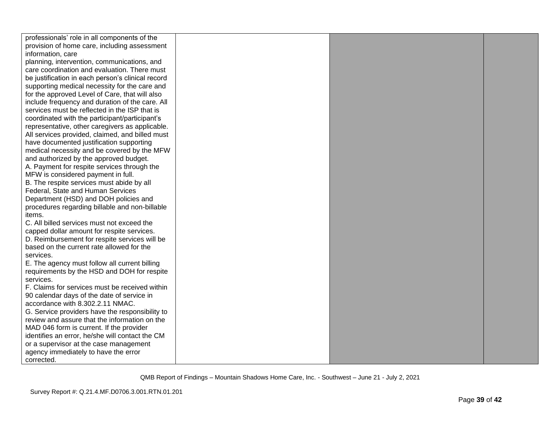| professionals' role in all components of the      |  |  |
|---------------------------------------------------|--|--|
| provision of home care, including assessment      |  |  |
| information, care                                 |  |  |
| planning, intervention, communications, and       |  |  |
| care coordination and evaluation. There must      |  |  |
| be justification in each person's clinical record |  |  |
| supporting medical necessity for the care and     |  |  |
| for the approved Level of Care, that will also    |  |  |
| include frequency and duration of the care. All   |  |  |
| services must be reflected in the ISP that is     |  |  |
| coordinated with the participant/participant's    |  |  |
| representative, other caregivers as applicable.   |  |  |
| All services provided, claimed, and billed must   |  |  |
| have documented justification supporting          |  |  |
| medical necessity and be covered by the MFW       |  |  |
| and authorized by the approved budget.            |  |  |
| A. Payment for respite services through the       |  |  |
| MFW is considered payment in full.                |  |  |
| B. The respite services must abide by all         |  |  |
| Federal, State and Human Services                 |  |  |
| Department (HSD) and DOH policies and             |  |  |
| procedures regarding billable and non-billable    |  |  |
| items.                                            |  |  |
| C. All billed services must not exceed the        |  |  |
| capped dollar amount for respite services.        |  |  |
| D. Reimbursement for respite services will be     |  |  |
| based on the current rate allowed for the         |  |  |
| services.                                         |  |  |
| E. The agency must follow all current billing     |  |  |
| requirements by the HSD and DOH for respite       |  |  |
| services.                                         |  |  |
| F. Claims for services must be received within    |  |  |
| 90 calendar days of the date of service in        |  |  |
| accordance with 8.302.2.11 NMAC.                  |  |  |
| G. Service providers have the responsibility to   |  |  |
| review and assure that the information on the     |  |  |
| MAD 046 form is current. If the provider          |  |  |
| identifies an error, he/she will contact the CM   |  |  |
| or a supervisor at the case management            |  |  |
| agency immediately to have the error              |  |  |
| corrected.                                        |  |  |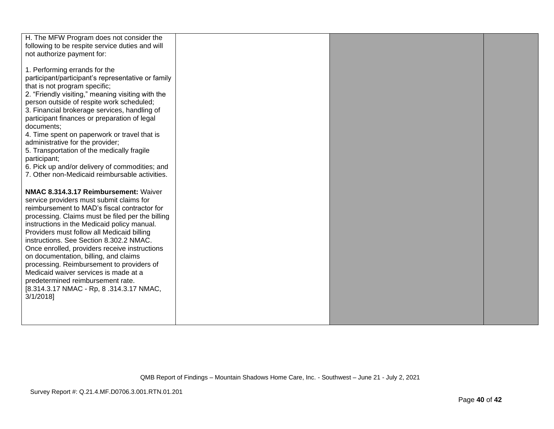| H. The MFW Program does not consider the                                                        |  |  |
|-------------------------------------------------------------------------------------------------|--|--|
| following to be respite service duties and will                                                 |  |  |
| not authorize payment for:                                                                      |  |  |
| 1. Performing errands for the                                                                   |  |  |
| participant/participant's representative or family                                              |  |  |
| that is not program specific;                                                                   |  |  |
| 2. "Friendly visiting," meaning visiting with the                                               |  |  |
| person outside of respite work scheduled;                                                       |  |  |
| 3. Financial brokerage services, handling of                                                    |  |  |
| participant finances or preparation of legal                                                    |  |  |
| documents;                                                                                      |  |  |
| 4. Time spent on paperwork or travel that is<br>administrative for the provider;                |  |  |
| 5. Transportation of the medically fragile                                                      |  |  |
| participant;                                                                                    |  |  |
| 6. Pick up and/or delivery of commodities; and                                                  |  |  |
| 7. Other non-Medicaid reimbursable activities.                                                  |  |  |
|                                                                                                 |  |  |
| NMAC 8.314.3.17 Reimbursement: Waiver                                                           |  |  |
| service providers must submit claims for                                                        |  |  |
| reimbursement to MAD's fiscal contractor for                                                    |  |  |
| processing. Claims must be filed per the billing<br>instructions in the Medicaid policy manual. |  |  |
| Providers must follow all Medicaid billing                                                      |  |  |
| instructions. See Section 8.302.2 NMAC.                                                         |  |  |
| Once enrolled, providers receive instructions                                                   |  |  |
| on documentation, billing, and claims                                                           |  |  |
| processing. Reimbursement to providers of                                                       |  |  |
| Medicaid waiver services is made at a                                                           |  |  |
| predetermined reimbursement rate.                                                               |  |  |
| [8.314.3.17 NMAC - Rp, 8.314.3.17 NMAC,<br>$3/1/2018$ ]                                         |  |  |
|                                                                                                 |  |  |
|                                                                                                 |  |  |
|                                                                                                 |  |  |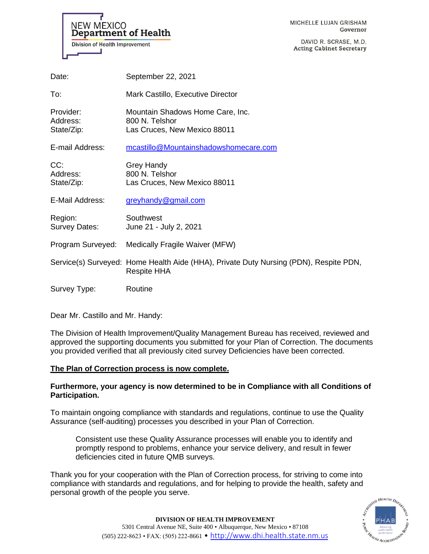

DAVID R. SCRASE, M.D. **Acting Cabinet Secretary** 

|       | NEW MEXICO<br>Department of Health |
|-------|------------------------------------|
|       | Division of Health Improvement     |
| Date: | September 22, 2021                 |
| ⊤∽.   | $M$ ork Cootille Evenutive E       |

| To:                                 | Mark Castillo, Executive Director                                                                           |
|-------------------------------------|-------------------------------------------------------------------------------------------------------------|
| Provider:<br>Address:<br>State/Zip: | Mountain Shadows Home Care, Inc.<br>800 N. Telshor<br>Las Cruces, New Mexico 88011                          |
| E-mail Address:                     | mcastillo@Mountainshadowshomecare.com                                                                       |
| CC:<br>Address:<br>State/Zip:       | <b>Grey Handy</b><br>800 N. Telshor<br>Las Cruces, New Mexico 88011                                         |
| E-Mail Address:                     | greyhandy@gmail.com                                                                                         |
| Region:<br>Survey Dates:            | Southwest<br>June 21 - July 2, 2021                                                                         |
|                                     | Program Surveyed: Medically Fragile Waiver (MFW)                                                            |
|                                     | Service(s) Surveyed: Home Health Aide (HHA), Private Duty Nursing (PDN), Respite PDN,<br><b>Respite HHA</b> |
| Survey Type:                        | Routine                                                                                                     |

Dear Mr. Castillo and Mr. Handy:

The Division of Health Improvement/Quality Management Bureau has received, reviewed and approved the supporting documents you submitted for your Plan of Correction. The documents you provided verified that all previously cited survey Deficiencies have been corrected.

# **The Plan of Correction process is now complete.**

# **Furthermore, your agency is now determined to be in Compliance with all Conditions of Participation.**

To maintain ongoing compliance with standards and regulations, continue to use the Quality Assurance (self-auditing) processes you described in your Plan of Correction.

Consistent use these Quality Assurance processes will enable you to identify and promptly respond to problems, enhance your service delivery, and result in fewer deficiencies cited in future QMB surveys.

Thank you for your cooperation with the Plan of Correction process, for striving to come into compliance with standards and regulations, and for helping to provide the health, safety and personal growth of the people you serve.